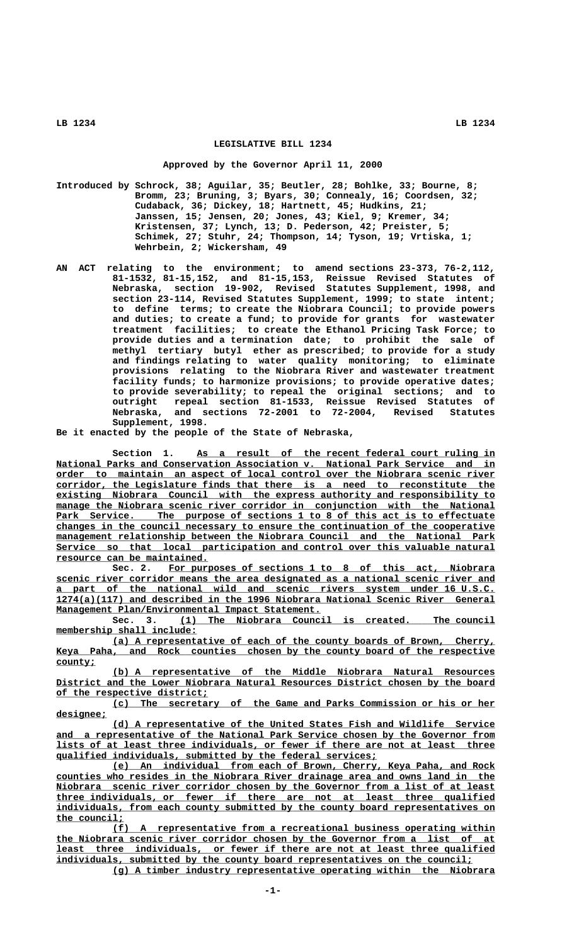## **LEGISLATIVE BILL 1234**

## **Approved by the Governor April 11, 2000**

- **Introduced by Schrock, 38; Aguilar, 35; Beutler, 28; Bohlke, 33; Bourne, 8; Bromm, 23; Bruning, 3; Byars, 30; Connealy, 16; Coordsen, 32; Cudaback, 36; Dickey, 18; Hartnett, 45; Hudkins, 21; Janssen, 15; Jensen, 20; Jones, 43; Kiel, 9; Kremer, 34; Kristensen, 37; Lynch, 13; D. Pederson, 42; Preister, 5; Schimek, 27; Stuhr, 24; Thompson, 14; Tyson, 19; Vrtiska, 1; Wehrbein, 2; Wickersham, 49**
- **AN ACT relating to the environment; to amend sections 23-373, 76-2,112, 81-1532, 81-15,152, and 81-15,153, Reissue Revised Statutes of Nebraska, section 19-902, Revised Statutes Supplement, 1998, and section 23-114, Revised Statutes Supplement, 1999; to state intent; to define terms; to create the Niobrara Council; to provide powers and duties; to create a fund; to provide for grants for wastewater treatment facilities; to create the Ethanol Pricing Task Force; to provide duties and a termination date; to prohibit the sale of methyl tertiary butyl ether as prescribed; to provide for a study and findings relating to water quality monitoring; to eliminate provisions relating to the Niobrara River and wastewater treatment facility funds; to harmonize provisions; to provide operative dates; to provide severability; to repeal the original sections; and to outright repeal section 81-1533, Reissue Revised Statutes of Nebraska, and sections 72-2001 to 72-2004, Revised Statutes Supplement, 1998.**

**Be it enacted by the people of the State of Nebraska,**

Section 1. As a result of the recent federal court ruling in  $National Parks and Conservation Association v. National Park Service and in$ </u>  **\_\_\_\_\_\_\_\_\_\_\_\_\_\_\_\_\_\_\_\_\_\_\_\_\_\_\_\_\_\_\_\_\_\_\_\_\_\_\_\_\_\_\_\_\_\_\_\_\_\_\_\_\_\_\_\_\_\_\_\_\_\_\_\_\_\_\_\_\_\_\_\_\_\_\_\_\_\_ order to maintain an aspect of local control over the Niobrara scenic river \_\_\_\_\_\_\_\_\_\_\_\_\_\_\_\_\_\_\_\_\_\_\_\_\_\_\_\_\_\_\_\_\_\_\_\_\_\_\_\_\_\_\_\_\_\_\_\_\_\_\_\_\_\_\_\_\_\_\_\_\_\_\_\_\_\_\_\_\_\_\_\_\_\_\_\_\_\_ corridor, the Legislature finds that there is a need to reconstitute the \_\_\_\_\_\_\_\_\_\_\_\_\_\_\_\_\_\_\_\_\_\_\_\_\_\_\_\_\_\_\_\_\_\_\_\_\_\_\_\_\_\_\_\_\_\_\_\_\_\_\_\_\_\_\_\_\_\_\_\_\_\_\_\_\_\_\_\_\_\_\_\_\_\_\_\_\_\_ existing Niobrara Council with the express authority and responsibility to**  $m$ anage the Niobrara scenic river corridor in conjunction with the National Park Service. The purpose of sections 1 to 8 of this act is to effectuate  **\_\_\_\_\_\_\_\_\_\_\_\_\_\_\_\_\_\_\_\_\_\_\_\_\_\_\_\_\_\_\_\_\_\_\_\_\_\_\_\_\_\_\_\_\_\_\_\_\_\_\_\_\_\_\_\_\_\_\_\_\_\_\_\_\_\_\_\_\_\_\_\_\_\_\_\_\_\_ changes in the council necessary to ensure the continuation of the cooperative**  $management$  relationship between the Niobrara Council and the National Park  **\_\_\_\_\_\_\_\_\_\_\_\_\_\_\_\_\_\_\_\_\_\_\_\_\_\_\_\_\_\_\_\_\_\_\_\_\_\_\_\_\_\_\_\_\_\_\_\_\_\_\_\_\_\_\_\_\_\_\_\_\_\_\_\_\_\_\_\_\_\_\_\_\_\_\_\_\_\_ Service so that local participation and control over this valuable natural \_\_\_\_\_\_\_\_\_\_\_\_\_\_\_\_\_\_\_\_\_\_\_\_\_\_\_ resource can be maintained.**

 **\_\_\_\_\_\_\_\_\_\_\_\_\_\_\_\_\_\_\_\_\_\_\_\_\_\_\_\_\_\_\_\_\_\_\_\_\_\_\_\_\_\_\_\_\_\_\_\_\_\_\_\_\_\_\_\_\_\_ Sec. 2. For purposes of sections 1 to 8 of this act, Niobrara \_\_\_\_\_\_\_\_\_\_\_\_\_\_\_\_\_\_\_\_\_\_\_\_\_\_\_\_\_\_\_\_\_\_\_\_\_\_\_\_\_\_\_\_\_\_\_\_\_\_\_\_\_\_\_\_\_\_\_\_\_\_\_\_\_\_\_\_\_\_\_\_\_\_\_\_\_\_ scenic river corridor means the area designated as a national scenic river and \_\_\_\_\_\_\_\_\_\_\_\_\_\_\_\_\_\_\_\_\_\_\_\_\_\_\_\_\_\_\_\_\_\_\_\_\_\_\_\_\_\_\_\_\_\_\_\_\_\_\_\_\_\_\_\_\_\_\_\_\_\_\_\_\_\_\_\_\_\_\_\_\_\_\_\_\_\_ a part of the national wild and scenic rivers system under 16 U.S.C. \_\_\_\_\_\_\_\_\_\_\_\_\_\_\_\_\_\_\_\_\_\_\_\_\_\_\_\_\_\_\_\_\_\_\_\_\_\_\_\_\_\_\_\_\_\_\_\_\_\_\_\_\_\_\_\_\_\_\_\_\_\_\_\_\_\_\_\_\_\_\_\_\_\_\_\_\_\_ 1274(a)(117) and described in the 1996 Niobrara National Scenic River General \_\_\_\_\_\_\_\_\_\_\_\_\_\_\_\_\_\_\_\_\_\_\_\_\_\_\_\_\_\_\_\_\_\_\_\_\_\_\_\_\_\_\_\_\_\_\_ Management Plan/Environmental Impact Statement.**

 **\_\_\_\_\_\_\_\_\_\_\_\_\_\_\_\_\_\_\_\_\_\_\_\_\_\_\_\_\_\_\_\_\_\_\_\_\_\_\_\_\_\_\_\_\_\_\_\_\_\_\_\_\_\_\_\_ Sec. 3. (1) The Niobrara Council is created. The council \_\_\_\_\_\_\_\_\_\_\_\_\_\_\_\_\_\_\_\_\_\_\_\_\_ membership shall include:**

 **\_\_\_\_\_\_\_\_\_\_\_\_\_\_\_\_\_\_\_\_\_\_\_\_\_\_\_\_\_\_\_\_\_\_\_\_\_\_\_\_\_\_\_\_\_\_\_\_\_\_\_\_\_\_\_\_\_\_\_\_\_\_\_\_\_\_\_\_ (a) A representative of each of the county boards of Brown, Cherry,** Keya Paha, and Rock counties chosen by the county board of the respective  **county; \_\_\_\_\_\_\_**

 **\_\_\_\_\_\_\_\_\_\_\_\_\_\_\_\_\_\_\_\_\_\_\_\_\_\_\_\_\_\_\_\_\_\_\_\_\_\_\_\_\_\_\_\_\_\_\_\_\_\_\_\_\_\_\_\_\_\_\_\_\_\_\_\_\_\_\_\_ (b) A representative of the Middle Niobrara Natural Resources \_\_\_\_\_\_\_\_\_\_\_\_\_\_\_\_\_\_\_\_\_\_\_\_\_\_\_\_\_\_\_\_\_\_\_\_\_\_\_\_\_\_\_\_\_\_\_\_\_\_\_\_\_\_\_\_\_\_\_\_\_\_\_\_\_\_\_\_\_\_\_\_\_\_\_\_\_\_ District and the Lower Niobrara Natural Resources District chosen by the board \_\_\_\_\_\_\_\_\_\_\_\_\_\_\_\_\_\_\_\_\_\_\_\_\_\_\_ of the respective district;**

 **\_\_\_\_\_\_\_\_\_\_\_\_\_\_\_\_\_\_\_\_\_\_\_\_\_\_\_\_\_\_\_\_\_\_\_\_\_\_\_\_\_\_\_\_\_\_\_\_\_\_\_\_\_\_\_\_\_\_\_\_\_\_\_\_\_\_\_\_ (c) The secretary of the Game and Parks Commission or his or her designee; \_\_\_\_\_\_\_\_\_**

 **\_\_\_\_\_\_\_\_\_\_\_\_\_\_\_\_\_\_\_\_\_\_\_\_\_\_\_\_\_\_\_\_\_\_\_\_\_\_\_\_\_\_\_\_\_\_\_\_\_\_\_\_\_\_\_\_\_\_\_\_\_\_\_\_\_\_\_\_ (d) A representative of the United States Fish and Wildlife Service** and a representative of the National Park Service chosen by the Governor from  **\_\_\_\_\_\_\_\_\_\_\_\_\_\_\_\_\_\_\_\_\_\_\_\_\_\_\_\_\_\_\_\_\_\_\_\_\_\_\_\_\_\_\_\_\_\_\_\_\_\_\_\_\_\_\_\_\_\_\_\_\_\_\_\_\_\_\_\_\_\_\_\_\_\_\_\_\_\_ lists of at least three individuals, or fewer if there are not at least three \_\_\_\_\_\_\_\_\_\_\_\_\_\_\_\_\_\_\_\_\_\_\_\_\_\_\_\_\_\_\_\_\_\_\_\_\_\_\_\_\_\_\_\_\_\_\_\_\_\_\_\_\_\_\_\_\_ qualified individuals, submitted by the federal services;**

 **\_\_\_\_\_\_\_\_\_\_\_\_\_\_\_\_\_\_\_\_\_\_\_\_\_\_\_\_\_\_\_\_\_\_\_\_\_\_\_\_\_\_\_\_\_\_\_\_\_\_\_\_\_\_\_\_\_\_\_\_\_\_\_\_\_\_\_\_ (e) An individual from each of Brown, Cherry, Keya Paha, and Rock \_\_\_\_\_\_\_\_\_\_\_\_\_\_\_\_\_\_\_\_\_\_\_\_\_\_\_\_\_\_\_\_\_\_\_\_\_\_\_\_\_\_\_\_\_\_\_\_\_\_\_\_\_\_\_\_\_\_\_\_\_\_\_\_\_\_\_\_\_\_\_\_\_\_\_\_\_\_ counties who resides in the Niobrara River drainage area and owns land in the \_\_\_\_\_\_\_\_\_\_\_\_\_\_\_\_\_\_\_\_\_\_\_\_\_\_\_\_\_\_\_\_\_\_\_\_\_\_\_\_\_\_\_\_\_\_\_\_\_\_\_\_\_\_\_\_\_\_\_\_\_\_\_\_\_\_\_\_\_\_\_\_\_\_\_\_\_\_ Niobrara scenic river corridor chosen by the Governor from a list of at least \_\_\_\_\_\_\_\_\_\_\_\_\_\_\_\_\_\_\_\_\_\_\_\_\_\_\_\_\_\_\_\_\_\_\_\_\_\_\_\_\_\_\_\_\_\_\_\_\_\_\_\_\_\_\_\_\_\_\_\_\_\_\_\_\_\_\_\_\_\_\_\_\_\_\_\_\_\_ three individuals, or fewer if there are not at least three qualified** individuals, from each county submitted by the county board representatives on  **the council; \_\_\_\_\_\_\_\_\_\_\_\_**

 **\_\_\_\_\_\_\_\_\_\_\_\_\_\_\_\_\_\_\_\_\_\_\_\_\_\_\_\_\_\_\_\_\_\_\_\_\_\_\_\_\_\_\_\_\_\_\_\_\_\_\_\_\_\_\_\_\_\_\_\_\_\_\_\_\_\_\_\_ (f) A representative from a recreational business operating within \_\_\_\_\_\_\_\_\_\_\_\_\_\_\_\_\_\_\_\_\_\_\_\_\_\_\_\_\_\_\_\_\_\_\_\_\_\_\_\_\_\_\_\_\_\_\_\_\_\_\_\_\_\_\_\_\_\_\_\_\_\_\_\_\_\_\_\_\_\_\_\_\_\_\_\_\_\_ the Niobrara scenic river corridor chosen by the Governor from a list of at \_\_\_\_\_\_\_\_\_\_\_\_\_\_\_\_\_\_\_\_\_\_\_\_\_\_\_\_\_\_\_\_\_\_\_\_\_\_\_\_\_\_\_\_\_\_\_\_\_\_\_\_\_\_\_\_\_\_\_\_\_\_\_\_\_\_\_\_\_\_\_\_\_\_\_\_\_\_ least three individuals, or fewer if there are not at least three qualified \_\_\_\_\_\_\_\_\_\_\_\_\_\_\_\_\_\_\_\_\_\_\_\_\_\_\_\_\_\_\_\_\_\_\_\_\_\_\_\_\_\_\_\_\_\_\_\_\_\_\_\_\_\_\_\_\_\_\_\_\_\_\_\_\_\_\_\_\_\_\_\_\_\_ individuals, submitted by the county board representatives on the council;**

 **\_\_\_\_\_\_\_\_\_\_\_\_\_\_\_\_\_\_\_\_\_\_\_\_\_\_\_\_\_\_\_\_\_\_\_\_\_\_\_\_\_\_\_\_\_\_\_\_\_\_\_\_\_\_\_\_\_\_\_\_\_\_\_\_\_\_\_\_ (g) A timber industry representative operating within the Niobrara**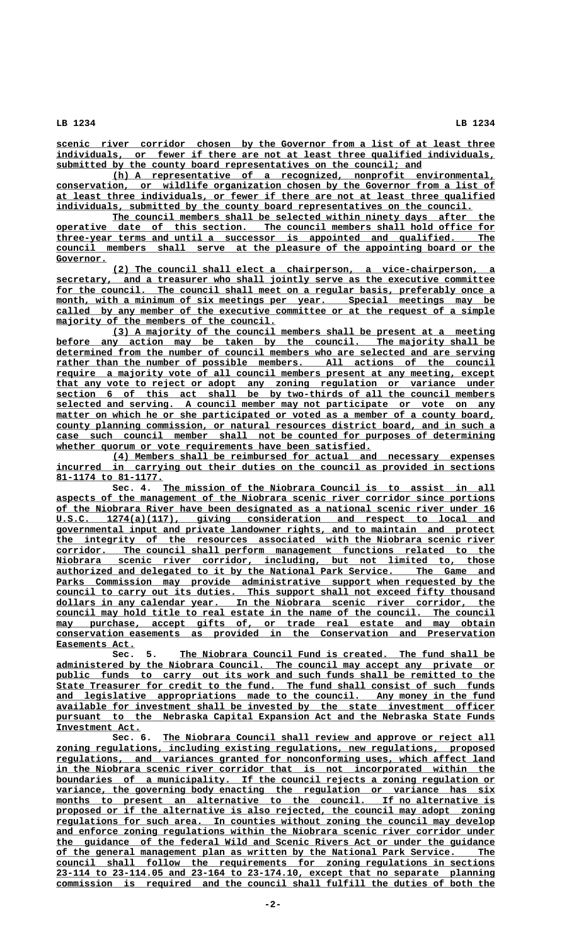**\_\_\_\_\_\_\_\_\_\_\_\_\_\_\_\_\_\_\_\_\_\_\_\_\_\_\_\_\_\_\_\_\_\_\_\_\_\_\_\_\_\_\_\_\_\_\_\_\_\_\_\_\_\_\_\_\_\_\_\_\_\_\_\_\_\_\_\_\_\_\_\_\_\_\_\_\_\_ scenic river corridor chosen by the Governor from a list of at least three \_\_\_\_\_\_\_\_\_\_\_\_\_\_\_\_\_\_\_\_\_\_\_\_\_\_\_\_\_\_\_\_\_\_\_\_\_\_\_\_\_\_\_\_\_\_\_\_\_\_\_\_\_\_\_\_\_\_\_\_\_\_\_\_\_\_\_\_\_\_\_\_\_\_\_\_\_\_ individuals, or fewer if there are not at least three qualified individuals, \_\_\_\_\_\_\_\_\_\_\_\_\_\_\_\_\_\_\_\_\_\_\_\_\_\_\_\_\_\_\_\_\_\_\_\_\_\_\_\_\_\_\_\_\_\_\_\_\_\_\_\_\_\_\_\_\_\_\_\_\_\_\_\_\_ submitted by the county board representatives on the council; and**

 **\_\_\_\_\_\_\_\_\_\_\_\_\_\_\_\_\_\_\_\_\_\_\_\_\_\_\_\_\_\_\_\_\_\_\_\_\_\_\_\_\_\_\_\_\_\_\_\_\_\_\_\_\_\_\_\_\_\_\_\_\_\_\_\_\_\_\_\_ (h) A representative of a recognized, nonprofit environmental, \_\_\_\_\_\_\_\_\_\_\_\_\_\_\_\_\_\_\_\_\_\_\_\_\_\_\_\_\_\_\_\_\_\_\_\_\_\_\_\_\_\_\_\_\_\_\_\_\_\_\_\_\_\_\_\_\_\_\_\_\_\_\_\_\_\_\_\_\_\_\_\_\_\_\_\_\_\_ conservation, or wildlife organization chosen by the Governor from a list of \_\_\_\_\_\_\_\_\_\_\_\_\_\_\_\_\_\_\_\_\_\_\_\_\_\_\_\_\_\_\_\_\_\_\_\_\_\_\_\_\_\_\_\_\_\_\_\_\_\_\_\_\_\_\_\_\_\_\_\_\_\_\_\_\_\_\_\_\_\_\_\_\_\_\_\_\_\_ at least three individuals, or fewer if there are not at least three qualified \_\_\_\_\_\_\_\_\_\_\_\_\_\_\_\_\_\_\_\_\_\_\_\_\_\_\_\_\_\_\_\_\_\_\_\_\_\_\_\_\_\_\_\_\_\_\_\_\_\_\_\_\_\_\_\_\_\_\_\_\_\_\_\_\_\_\_\_\_\_\_\_\_\_ individuals, submitted by the county board representatives on the council.**

 **\_\_\_\_\_\_\_\_\_\_\_\_\_\_\_\_\_\_\_\_\_\_\_\_\_\_\_\_\_\_\_\_\_\_\_\_\_\_\_\_\_\_\_\_\_\_\_\_\_\_\_\_\_\_\_\_\_\_\_\_\_\_\_\_\_\_\_\_ The council members shall be selected within ninety days after the \_\_\_\_\_\_\_\_\_\_\_\_\_\_\_\_\_\_\_\_\_\_\_\_\_\_\_\_\_\_\_\_\_\_\_\_\_\_\_\_\_\_\_\_\_\_\_\_\_\_\_\_\_\_\_\_\_\_\_\_\_\_\_\_\_\_\_\_\_\_\_\_\_\_\_\_\_\_ operative date of this section. The council members shall hold office for \_\_\_\_\_\_\_\_\_\_\_\_\_\_\_\_\_\_\_\_\_\_\_\_\_\_\_\_\_\_\_\_\_\_\_\_\_\_\_\_\_\_\_\_\_\_\_\_\_\_\_\_\_\_\_\_\_\_\_\_\_\_\_\_\_\_\_\_\_\_\_\_\_\_\_\_\_\_ three-year terms and until a successor is appointed and qualified. The \_\_\_\_\_\_\_\_\_\_\_\_\_\_\_\_\_\_\_\_\_\_\_\_\_\_\_\_\_\_\_\_\_\_\_\_\_\_\_\_\_\_\_\_\_\_\_\_\_\_\_\_\_\_\_\_\_\_\_\_\_\_\_\_\_\_\_\_\_\_\_\_\_\_\_\_\_\_ council members shall serve at the pleasure of the appointing board or the** Governor.

 **\_\_\_\_\_\_\_\_\_\_\_\_\_\_\_\_\_\_\_\_\_\_\_\_\_\_\_\_\_\_\_\_\_\_\_\_\_\_\_\_\_\_\_\_\_\_\_\_\_\_\_\_\_\_\_\_\_\_\_\_\_\_\_\_\_\_\_\_ (2) The council shall elect a chairperson, a vice-chairperson, a \_\_\_\_\_\_\_\_\_\_\_\_\_\_\_\_\_\_\_\_\_\_\_\_\_\_\_\_\_\_\_\_\_\_\_\_\_\_\_\_\_\_\_\_\_\_\_\_\_\_\_\_\_\_\_\_\_\_\_\_\_\_\_\_\_\_\_\_\_\_\_\_\_\_\_\_\_\_ secretary, and a treasurer who shall jointly serve as the executive committee \_\_\_\_\_\_\_\_\_\_\_\_\_\_\_\_\_\_\_\_\_\_\_\_\_\_\_\_\_\_\_\_\_\_\_\_\_\_\_\_\_\_\_\_\_\_\_\_\_\_\_\_\_\_\_\_\_\_\_\_\_\_\_\_\_\_\_\_\_\_\_\_\_\_\_\_\_\_ for the council. The council shall meet on a regular basis, preferably once a**  $\text{month}$ , with a minimum of six meetings per year. Special meetings may be  **\_\_\_\_\_\_\_\_\_\_\_\_\_\_\_\_\_\_\_\_\_\_\_\_\_\_\_\_\_\_\_\_\_\_\_\_\_\_\_\_\_\_\_\_\_\_\_\_\_\_\_\_\_\_\_\_\_\_\_\_\_\_\_\_\_\_\_\_\_\_\_\_\_\_\_\_\_\_ called by any member of the executive committee or at the request of a simple**  $_{majority}$  of the members of the council.

 **\_\_\_\_\_\_\_\_\_\_\_\_\_\_\_\_\_\_\_\_\_\_\_\_\_\_\_\_\_\_\_\_\_\_\_\_\_\_\_\_\_\_\_\_\_\_\_\_\_\_\_\_\_\_\_\_\_\_\_\_\_\_\_\_\_\_\_\_ (3) A majority of the council members shall be present at a meeting** before any action may be taken by the council. The majority shall be  **\_\_\_\_\_\_\_\_\_\_\_\_\_\_\_\_\_\_\_\_\_\_\_\_\_\_\_\_\_\_\_\_\_\_\_\_\_\_\_\_\_\_\_\_\_\_\_\_\_\_\_\_\_\_\_\_\_\_\_\_\_\_\_\_\_\_\_\_\_\_\_\_\_\_\_\_\_\_ determined from the number of council members who are selected and are serving**  $rather than the number of possible members. All actions of the council$  **\_\_\_\_\_\_\_\_\_\_\_\_\_\_\_\_\_\_\_\_\_\_\_\_\_\_\_\_\_\_\_\_\_\_\_\_\_\_\_\_\_\_\_\_\_\_\_\_\_\_\_\_\_\_\_\_\_\_\_\_\_\_\_\_\_\_\_\_\_\_\_\_\_\_\_\_\_\_ require a majority vote of all council members present at any meeting, except \_\_\_\_\_\_\_\_\_\_\_\_\_\_\_\_\_\_\_\_\_\_\_\_\_\_\_\_\_\_\_\_\_\_\_\_\_\_\_\_\_\_\_\_\_\_\_\_\_\_\_\_\_\_\_\_\_\_\_\_\_\_\_\_\_\_\_\_\_\_\_\_\_\_\_\_\_\_ that any vote to reject or adopt any zoning regulation or variance under** section 6 of this act shall be by two-thirds of all the council members  **\_\_\_\_\_\_\_\_\_\_\_\_\_\_\_\_\_\_\_\_\_\_\_\_\_\_\_\_\_\_\_\_\_\_\_\_\_\_\_\_\_\_\_\_\_\_\_\_\_\_\_\_\_\_\_\_\_\_\_\_\_\_\_\_\_\_\_\_\_\_\_\_\_\_\_\_\_\_ selected and serving. A council member may not participate or vote on any** matter on which he or she participated or voted as a member of a county board,  **\_\_\_\_\_\_\_\_\_\_\_\_\_\_\_\_\_\_\_\_\_\_\_\_\_\_\_\_\_\_\_\_\_\_\_\_\_\_\_\_\_\_\_\_\_\_\_\_\_\_\_\_\_\_\_\_\_\_\_\_\_\_\_\_\_\_\_\_\_\_\_\_\_\_\_\_\_\_ county planning commission, or natural resources district board, and in such a \_\_\_\_\_\_\_\_\_\_\_\_\_\_\_\_\_\_\_\_\_\_\_\_\_\_\_\_\_\_\_\_\_\_\_\_\_\_\_\_\_\_\_\_\_\_\_\_\_\_\_\_\_\_\_\_\_\_\_\_\_\_\_\_\_\_\_\_\_\_\_\_\_\_\_\_\_\_ case such council member shall not be counted for purposes of determining \_\_\_\_\_\_\_\_\_\_\_\_\_\_\_\_\_\_\_\_\_\_\_\_\_\_\_\_\_\_\_\_\_\_\_\_\_\_\_\_\_\_\_\_\_\_\_\_\_\_\_\_\_\_\_\_ whether quorum or vote requirements have been satisfied.**

 **\_\_\_\_\_\_\_\_\_\_\_\_\_\_\_\_\_\_\_\_\_\_\_\_\_\_\_\_\_\_\_\_\_\_\_\_\_\_\_\_\_\_\_\_\_\_\_\_\_\_\_\_\_\_\_\_\_\_\_\_\_\_\_\_\_\_\_\_ (4) Members shall be reimbursed for actual and necessary expenses \_\_\_\_\_\_\_\_\_\_\_\_\_\_\_\_\_\_\_\_\_\_\_\_\_\_\_\_\_\_\_\_\_\_\_\_\_\_\_\_\_\_\_\_\_\_\_\_\_\_\_\_\_\_\_\_\_\_\_\_\_\_\_\_\_\_\_\_\_\_\_\_\_\_\_\_\_\_ incurred in carrying out their duties on the council as provided in sections \_\_\_\_\_\_\_\_\_\_\_\_\_\_\_\_\_\_\_ 81-1174 to 81-1177.**

Sec. 4. The mission of the Niobrara Council is to assist in all  **\_\_\_\_\_\_\_\_\_\_\_\_\_\_\_\_\_\_\_\_\_\_\_\_\_\_\_\_\_\_\_\_\_\_\_\_\_\_\_\_\_\_\_\_\_\_\_\_\_\_\_\_\_\_\_\_\_\_\_\_\_\_\_\_\_\_\_\_\_\_\_\_\_\_\_\_\_\_ aspects of the management of the Niobrara scenic river corridor since portions \_\_\_\_\_\_\_\_\_\_\_\_\_\_\_\_\_\_\_\_\_\_\_\_\_\_\_\_\_\_\_\_\_\_\_\_\_\_\_\_\_\_\_\_\_\_\_\_\_\_\_\_\_\_\_\_\_\_\_\_\_\_\_\_\_\_\_\_\_\_\_\_\_\_\_\_\_\_ of the Niobrara River have been designated as a national scenic river under 16 \_\_\_\_\_\_\_\_\_\_\_\_\_\_\_\_\_\_\_\_\_\_\_\_\_\_\_\_\_\_\_\_\_\_\_\_\_\_\_\_\_\_\_\_\_\_\_\_\_\_\_\_\_\_\_\_\_\_\_\_\_\_\_\_\_\_\_\_\_\_\_\_\_\_\_\_\_\_ U.S.C. 1274(a)(117), giving consideration and respect to local and \_\_\_\_\_\_\_\_\_\_\_\_\_\_\_\_\_\_\_\_\_\_\_\_\_\_\_\_\_\_\_\_\_\_\_\_\_\_\_\_\_\_\_\_\_\_\_\_\_\_\_\_\_\_\_\_\_\_\_\_\_\_\_\_\_\_\_\_\_\_\_\_\_\_\_\_\_\_ governmental input and private landowner rights, and to maintain and protect \_\_\_\_\_\_\_\_\_\_\_\_\_\_\_\_\_\_\_\_\_\_\_\_\_\_\_\_\_\_\_\_\_\_\_\_\_\_\_\_\_\_\_\_\_\_\_\_\_\_\_\_\_\_\_\_\_\_\_\_\_\_\_\_\_\_\_\_\_\_\_\_\_\_\_\_\_\_ the integrity of the resources associated with the Niobrara scenic river \_\_\_\_\_\_\_\_\_\_\_\_\_\_\_\_\_\_\_\_\_\_\_\_\_\_\_\_\_\_\_\_\_\_\_\_\_\_\_\_\_\_\_\_\_\_\_\_\_\_\_\_\_\_\_\_\_\_\_\_\_\_\_\_\_\_\_\_\_\_\_\_\_\_\_\_\_\_ corridor. The council shall perform management functions related to the \_\_\_\_\_\_\_\_\_\_\_\_\_\_\_\_\_\_\_\_\_\_\_\_\_\_\_\_\_\_\_\_\_\_\_\_\_\_\_\_\_\_\_\_\_\_\_\_\_\_\_\_\_\_\_\_\_\_\_\_\_\_\_\_\_\_\_\_\_\_\_\_\_\_\_\_\_\_ Niobrara scenic river corridor, including, but not limited to, those \_\_\_\_\_\_\_\_\_\_\_\_\_\_\_\_\_\_\_\_\_\_\_\_\_\_\_\_\_\_\_\_\_\_\_\_\_\_\_\_\_\_\_\_\_\_\_\_\_\_\_\_\_\_\_\_\_\_\_\_\_\_\_\_\_\_\_\_\_\_\_\_\_\_\_\_\_\_ authorized and delegated to it by the National Park Service. The Game and** Parks Commission may provide administrative support when requested by the  **council to carry out its duties. This support shall not exceed fifty thousand dollars in any calendar year.** In the Niobrara scenic river corridor, the In the Niobrara scenic river corridor, the  **\_\_\_\_\_\_\_\_\_\_\_\_\_\_\_\_\_\_\_\_\_\_\_\_\_\_\_\_\_\_\_\_\_\_\_\_\_\_\_\_\_\_\_\_\_\_\_\_\_\_\_\_\_\_\_\_\_\_\_\_\_\_\_\_\_\_\_\_\_\_\_\_\_\_\_\_\_\_ council may hold title to real estate in the name of the council. The council**  $\text{may}$  purchase, accept gifts of, or trade real estate and may obtain  **\_\_\_\_\_\_\_\_\_\_\_\_\_\_\_\_\_\_\_\_\_\_\_\_\_\_\_\_\_\_\_\_\_\_\_\_\_\_\_\_\_\_\_\_\_\_\_\_\_\_\_\_\_\_\_\_\_\_\_\_\_\_\_\_\_\_\_\_\_\_\_\_\_\_\_\_\_\_ conservation easements as provided in the Conservation and Preservation Easements Act. \_\_\_\_\_\_\_\_\_\_\_\_\_\_**

 **\_\_\_\_\_\_\_\_\_\_\_\_\_\_\_\_\_\_\_\_\_\_\_\_\_\_\_\_\_\_\_\_\_\_\_\_\_\_\_\_\_\_\_\_\_\_\_\_\_\_\_\_\_\_\_\_ Sec. 5. The Niobrara Council Fund is created. The fund shall be \_\_\_\_\_\_\_\_\_\_\_\_\_\_\_\_\_\_\_\_\_\_\_\_\_\_\_\_\_\_\_\_\_\_\_\_\_\_\_\_\_\_\_\_\_\_\_\_\_\_\_\_\_\_\_\_\_\_\_\_\_\_\_\_\_\_\_\_\_\_\_\_\_\_\_\_\_\_ administered by the Niobrara Council. The council may accept any private or** public funds to carry out its work and such funds shall be remitted to the  **\_\_\_\_\_\_\_\_\_\_\_\_\_\_\_\_\_\_\_\_\_\_\_\_\_\_\_\_\_\_\_\_\_\_\_\_\_\_\_\_\_\_\_\_\_\_\_\_\_\_\_\_\_\_\_\_\_\_\_\_\_\_\_\_\_\_\_\_\_\_\_\_\_\_\_\_\_\_ State Treasurer for credit to the fund. The fund shall consist of such funds \_\_\_\_\_\_\_\_\_\_\_\_\_\_\_\_\_\_\_\_\_\_\_\_\_\_\_\_\_\_\_\_\_\_\_\_\_\_\_\_\_\_\_\_\_\_\_\_\_\_\_\_\_\_\_\_\_\_\_\_\_\_\_\_\_\_\_\_\_\_\_\_\_\_\_\_\_\_ and legislative appropriations made to the council. Any money in the fund \_\_\_\_\_\_\_\_\_\_\_\_\_\_\_\_\_\_\_\_\_\_\_\_\_\_\_\_\_\_\_\_\_\_\_\_\_\_\_\_\_\_\_\_\_\_\_\_\_\_\_\_\_\_\_\_\_\_\_\_\_\_\_\_\_\_\_\_\_\_\_\_\_\_\_\_\_\_ available for investment shall be invested by the state investment officer \_\_\_\_\_\_\_\_\_\_\_\_\_\_\_\_\_\_\_\_\_\_\_\_\_\_\_\_\_\_\_\_\_\_\_\_\_\_\_\_\_\_\_\_\_\_\_\_\_\_\_\_\_\_\_\_\_\_\_\_\_\_\_\_\_\_\_\_\_\_\_\_\_\_\_\_\_\_ pursuant to the Nebraska Capital Expansion Act and the Nebraska State Funds Investment Act. \_\_\_\_\_\_\_\_\_\_\_\_\_\_\_**

Sec. 6. The Niobrara Council shall review and approve or reject all  **\_\_\_\_\_\_\_\_\_\_\_\_\_\_\_\_\_\_\_\_\_\_\_\_\_\_\_\_\_\_\_\_\_\_\_\_\_\_\_\_\_\_\_\_\_\_\_\_\_\_\_\_\_\_\_\_\_\_\_\_\_\_\_\_\_\_\_\_\_\_\_\_\_\_\_\_\_\_ zoning regulations, including existing regulations, new regulations, proposed \_\_\_\_\_\_\_\_\_\_\_\_\_\_\_\_\_\_\_\_\_\_\_\_\_\_\_\_\_\_\_\_\_\_\_\_\_\_\_\_\_\_\_\_\_\_\_\_\_\_\_\_\_\_\_\_\_\_\_\_\_\_\_\_\_\_\_\_\_\_\_\_\_\_\_\_\_\_ regulations, and variances granted for nonconforming uses, which affect land \_\_\_\_\_\_\_\_\_\_\_\_\_\_\_\_\_\_\_\_\_\_\_\_\_\_\_\_\_\_\_\_\_\_\_\_\_\_\_\_\_\_\_\_\_\_\_\_\_\_\_\_\_\_\_\_\_\_\_\_\_\_\_\_\_\_\_\_\_\_\_\_\_\_\_\_\_\_ in the Niobrara scenic river corridor that is not incorporated within the \_\_\_\_\_\_\_\_\_\_\_\_\_\_\_\_\_\_\_\_\_\_\_\_\_\_\_\_\_\_\_\_\_\_\_\_\_\_\_\_\_\_\_\_\_\_\_\_\_\_\_\_\_\_\_\_\_\_\_\_\_\_\_\_\_\_\_\_\_\_\_\_\_\_\_\_\_\_ boundaries of a municipality. If the council rejects a zoning regulation or**  $variance$ , the governing body enacting the regulation or variance has six  **\_\_\_\_\_\_\_\_\_\_\_\_\_\_\_\_\_\_\_\_\_\_\_\_\_\_\_\_\_\_\_\_\_\_\_\_\_\_\_\_\_\_\_\_\_\_\_\_\_\_\_\_\_\_\_\_\_\_\_\_\_\_\_\_\_\_\_\_\_\_\_\_\_\_\_\_\_\_ months to present an alternative to the council. If no alternative is** proposed or if the alternative is also rejected, the council may adopt zoning  **\_\_\_\_\_\_\_\_\_\_\_\_\_\_\_\_\_\_\_\_\_\_\_\_\_\_\_\_\_\_\_\_\_\_\_\_\_\_\_\_\_\_\_\_\_\_\_\_\_\_\_\_\_\_\_\_\_\_\_\_\_\_\_\_\_\_\_\_\_\_\_\_\_\_\_\_\_\_ regulations for such area. In counties without zoning the council may develop \_\_\_\_\_\_\_\_\_\_\_\_\_\_\_\_\_\_\_\_\_\_\_\_\_\_\_\_\_\_\_\_\_\_\_\_\_\_\_\_\_\_\_\_\_\_\_\_\_\_\_\_\_\_\_\_\_\_\_\_\_\_\_\_\_\_\_\_\_\_\_\_\_\_\_\_\_\_ and enforce zoning regulations within the Niobrara scenic river corridor under \_\_\_\_\_\_\_\_\_\_\_\_\_\_\_\_\_\_\_\_\_\_\_\_\_\_\_\_\_\_\_\_\_\_\_\_\_\_\_\_\_\_\_\_\_\_\_\_\_\_\_\_\_\_\_\_\_\_\_\_\_\_\_\_\_\_\_\_\_\_\_\_\_\_\_\_\_\_ the guidance of the federal Wild and Scenic Rivers Act or under the guidance \_\_\_\_\_\_\_\_\_\_\_\_\_\_\_\_\_\_\_\_\_\_\_\_\_\_\_\_\_\_\_\_\_\_\_\_\_\_\_\_\_\_\_\_\_\_\_\_\_\_\_\_\_\_\_\_\_\_\_\_\_\_\_\_\_\_\_\_\_\_\_\_\_\_\_\_\_\_ of the general management plan as written by the National Park Service. The \_\_\_\_\_\_\_\_\_\_\_\_\_\_\_\_\_\_\_\_\_\_\_\_\_\_\_\_\_\_\_\_\_\_\_\_\_\_\_\_\_\_\_\_\_\_\_\_\_\_\_\_\_\_\_\_\_\_\_\_\_\_\_\_\_\_\_\_\_\_\_\_\_\_\_\_\_\_ council shall follow the requirements for zoning regulations in sections \_\_\_\_\_\_\_\_\_\_\_\_\_\_\_\_\_\_\_\_\_\_\_\_\_\_\_\_\_\_\_\_\_\_\_\_\_\_\_\_\_\_\_\_\_\_\_\_\_\_\_\_\_\_\_\_\_\_\_\_\_\_\_\_\_\_\_\_\_\_\_\_\_\_\_\_\_\_ 23-114 to 23-114.05 and 23-164 to 23-174.10, except that no separate planning \_\_\_\_\_\_\_\_\_\_\_\_\_\_\_\_\_\_\_\_\_\_\_\_\_\_\_\_\_\_\_\_\_\_\_\_\_\_\_\_\_\_\_\_\_\_\_\_\_\_\_\_\_\_\_\_\_\_\_\_\_\_\_\_\_\_\_\_\_\_\_\_\_\_\_\_\_\_ commission is required and the council shall fulfill the duties of both the**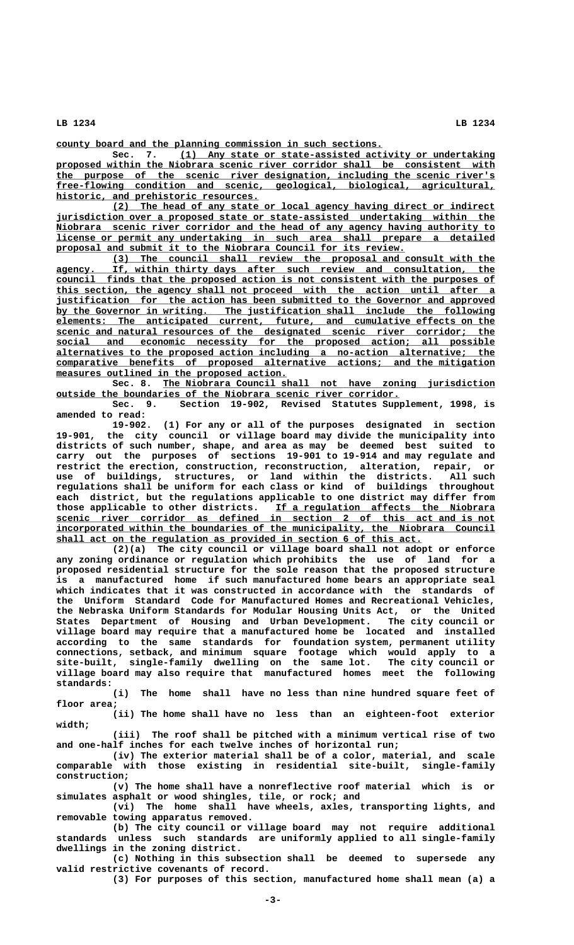**\_\_\_\_\_\_\_\_\_\_\_\_\_\_\_\_\_\_\_\_\_\_\_\_\_\_\_\_\_\_\_\_\_\_\_\_\_\_\_\_\_\_\_\_\_\_\_\_\_\_\_\_\_\_\_\_\_\_ county board and the planning commission in such sections.**

 **\_\_\_\_\_\_\_\_\_\_\_\_\_\_\_\_\_\_\_\_\_\_\_\_\_\_\_\_\_\_\_\_\_\_\_\_\_\_\_\_\_\_\_\_\_\_\_\_\_\_\_\_\_\_\_\_ Sec. 7. (1) Any state or state-assisted activity or undertaking \_\_\_\_\_\_\_\_\_\_\_\_\_\_\_\_\_\_\_\_\_\_\_\_\_\_\_\_\_\_\_\_\_\_\_\_\_\_\_\_\_\_\_\_\_\_\_\_\_\_\_\_\_\_\_\_\_\_\_\_\_\_\_\_\_\_\_\_\_\_\_\_\_\_\_\_\_\_ proposed within the Niobrara scenic river corridor shall be consistent with \_\_\_\_\_\_\_\_\_\_\_\_\_\_\_\_\_\_\_\_\_\_\_\_\_\_\_\_\_\_\_\_\_\_\_\_\_\_\_\_\_\_\_\_\_\_\_\_\_\_\_\_\_\_\_\_\_\_\_\_\_\_\_\_\_\_\_\_\_\_\_\_\_\_\_\_\_\_ the purpose of the scenic river designation, including the scenic river's \_\_\_\_\_\_\_\_\_\_\_\_\_\_\_\_\_\_\_\_\_\_\_\_\_\_\_\_\_\_\_\_\_\_\_\_\_\_\_\_\_\_\_\_\_\_\_\_\_\_\_\_\_\_\_\_\_\_\_\_\_\_\_\_\_\_\_\_\_\_\_\_\_\_\_\_\_\_ free-flowing condition and scenic, geological, biological, agricultural, \_\_\_\_\_\_\_\_\_\_\_\_\_\_\_\_\_\_\_\_\_\_\_\_\_\_\_\_\_\_\_\_\_\_\_\_ historic, and prehistoric resources.**

 **\_\_\_\_\_\_\_\_\_\_\_\_\_\_\_\_\_\_\_\_\_\_\_\_\_\_\_\_\_\_\_\_\_\_\_\_\_\_\_\_\_\_\_\_\_\_\_\_\_\_\_\_\_\_\_\_\_\_\_\_\_\_\_\_\_\_\_\_ (2) The head of any state or local agency having direct or indirect \_\_\_\_\_\_\_\_\_\_\_\_\_\_\_\_\_\_\_\_\_\_\_\_\_\_\_\_\_\_\_\_\_\_\_\_\_\_\_\_\_\_\_\_\_\_\_\_\_\_\_\_\_\_\_\_\_\_\_\_\_\_\_\_\_\_\_\_\_\_\_\_\_\_\_\_\_\_ jurisdiction over a proposed state or state-assisted undertaking within the \_\_\_\_\_\_\_\_\_\_\_\_\_\_\_\_\_\_\_\_\_\_\_\_\_\_\_\_\_\_\_\_\_\_\_\_\_\_\_\_\_\_\_\_\_\_\_\_\_\_\_\_\_\_\_\_\_\_\_\_\_\_\_\_\_\_\_\_\_\_\_\_\_\_\_\_\_\_ Niobrara scenic river corridor and the head of any agency having authority to \_\_\_\_\_\_\_\_\_\_\_\_\_\_\_\_\_\_\_\_\_\_\_\_\_\_\_\_\_\_\_\_\_\_\_\_\_\_\_\_\_\_\_\_\_\_\_\_\_\_\_\_\_\_\_\_\_\_\_\_\_\_\_\_\_\_\_\_\_\_\_\_\_\_\_\_\_\_ license or permit any undertaking in such area shall prepare a detailed \_\_\_\_\_\_\_\_\_\_\_\_\_\_\_\_\_\_\_\_\_\_\_\_\_\_\_\_\_\_\_\_\_\_\_\_\_\_\_\_\_\_\_\_\_\_\_\_\_\_\_\_\_\_\_\_\_\_\_\_\_\_ proposal and submit it to the Niobrara Council for its review.**

 **\_\_\_\_\_\_\_\_\_\_\_\_\_\_\_\_\_\_\_\_\_\_\_\_\_\_\_\_\_\_\_\_\_\_\_\_\_\_\_\_\_\_\_\_\_\_\_\_\_\_\_\_\_\_\_\_\_\_\_\_\_\_\_\_\_\_\_\_ (3) The council shall review the proposal and consult with the \_\_\_\_\_\_\_\_\_\_\_\_\_\_\_\_\_\_\_\_\_\_\_\_\_\_\_\_\_\_\_\_\_\_\_\_\_\_\_\_\_\_\_\_\_\_\_\_\_\_\_\_\_\_\_\_\_\_\_\_\_\_\_\_\_\_\_\_\_\_\_\_\_\_\_\_\_\_ agency. If, within thirty days after such review and consultation, the \_\_\_\_\_\_\_\_\_\_\_\_\_\_\_\_\_\_\_\_\_\_\_\_\_\_\_\_\_\_\_\_\_\_\_\_\_\_\_\_\_\_\_\_\_\_\_\_\_\_\_\_\_\_\_\_\_\_\_\_\_\_\_\_\_\_\_\_\_\_\_\_\_\_\_\_\_\_ council finds that the proposed action is not consistent with the purposes of \_\_\_\_\_\_\_\_\_\_\_\_\_\_\_\_\_\_\_\_\_\_\_\_\_\_\_\_\_\_\_\_\_\_\_\_\_\_\_\_\_\_\_\_\_\_\_\_\_\_\_\_\_\_\_\_\_\_\_\_\_\_\_\_\_\_\_\_\_\_\_\_\_\_\_\_\_\_ this section, the agency shall not proceed with the action until after a \_\_\_\_\_\_\_\_\_\_\_\_\_\_\_\_\_\_\_\_\_\_\_\_\_\_\_\_\_\_\_\_\_\_\_\_\_\_\_\_\_\_\_\_\_\_\_\_\_\_\_\_\_\_\_\_\_\_\_\_\_\_\_\_\_\_\_\_\_\_\_\_\_\_\_\_\_\_ justification for the action has been submitted to the Governor and approved \_\_\_\_\_\_\_\_\_\_\_\_\_\_\_\_\_\_\_\_\_\_\_\_\_\_\_\_\_\_\_\_\_\_\_\_\_\_\_\_\_\_\_\_\_\_\_\_\_\_\_\_\_\_\_\_\_\_\_\_\_\_\_\_\_\_\_\_\_\_\_\_\_\_\_\_\_\_ by the Governor in writing. The justification shall include the following \_\_\_\_\_\_\_\_\_\_\_\_\_\_\_\_\_\_\_\_\_\_\_\_\_\_\_\_\_\_\_\_\_\_\_\_\_\_\_\_\_\_\_\_\_\_\_\_\_\_\_\_\_\_\_\_\_\_\_\_\_\_\_\_\_\_\_\_\_\_\_\_\_\_\_\_\_\_ elements: The anticipated current, future, and cumulative effects on the \_\_\_\_\_\_\_\_\_\_\_\_\_\_\_\_\_\_\_\_\_\_\_\_\_\_\_\_\_\_\_\_\_\_\_\_\_\_\_\_\_\_\_\_\_\_\_\_\_\_\_\_\_\_\_\_\_\_\_\_\_\_\_\_\_\_\_\_\_\_\_\_\_\_\_\_\_\_ scenic and natural resources of the designated scenic river corridor; the \_\_\_\_\_\_\_\_\_\_\_\_\_\_\_\_\_\_\_\_\_\_\_\_\_\_\_\_\_\_\_\_\_\_\_\_\_\_\_\_\_\_\_\_\_\_\_\_\_\_\_\_\_\_\_\_\_\_\_\_\_\_\_\_\_\_\_\_\_\_\_\_\_\_\_\_\_\_ social and economic necessity for the proposed action; all possible \_\_\_\_\_\_\_\_\_\_\_\_\_\_\_\_\_\_\_\_\_\_\_\_\_\_\_\_\_\_\_\_\_\_\_\_\_\_\_\_\_\_\_\_\_\_\_\_\_\_\_\_\_\_\_\_\_\_\_\_\_\_\_\_\_\_\_\_\_\_\_\_\_\_\_\_\_\_ alternatives to the proposed action including a no-action alternative; the \_\_\_\_\_\_\_\_\_\_\_\_\_\_\_\_\_\_\_\_\_\_\_\_\_\_\_\_\_\_\_\_\_\_\_\_\_\_\_\_\_\_\_\_\_\_\_\_\_\_\_\_\_\_\_\_\_\_\_\_\_\_\_\_\_\_\_\_\_\_\_\_\_\_\_\_\_\_ comparative benefits of proposed alternative actions; and the mitigation \_\_\_\_\_\_\_\_\_\_\_\_\_\_\_\_\_\_\_\_\_\_\_\_\_\_\_\_\_\_\_\_\_\_\_\_\_\_\_\_\_ measures outlined in the proposed action.**

 **\_\_\_\_\_\_\_\_\_\_\_\_\_\_\_\_\_\_\_\_\_\_\_\_\_\_\_\_\_\_\_\_\_\_\_\_\_\_\_\_\_\_\_\_\_\_\_\_\_\_\_\_\_\_\_\_\_\_\_ Sec. 8. The Niobrara Council shall not have zoning jurisdiction \_\_\_\_\_\_\_\_\_\_\_\_\_\_\_\_\_\_\_\_\_\_\_\_\_\_\_\_\_\_\_\_\_\_\_\_\_\_\_\_\_\_\_\_\_\_\_\_\_\_\_\_\_\_\_\_\_\_\_\_\_ outside the boundaries of the Niobrara scenic river corridor.**

**Sec. 9. Section 19-902, Revised Statutes Supplement, 1998, is amended to read:**

**19-902. (1) For any or all of the purposes designated in section 19-901, the city council or village board may divide the municipality into districts of such number, shape, and area as may be deemed best suited to carry out the purposes of sections 19-901 to 19-914 and may regulate and restrict the erection, construction, reconstruction, alteration, repair, or use of buildings, structures, or land within the districts. All such regulations shall be uniform for each class or kind of buildings throughout each district, but the regulations applicable to one district may differ from \_\_\_\_\_\_\_\_\_\_\_\_\_\_\_\_\_\_\_\_\_\_\_\_\_\_\_\_\_\_\_\_\_\_\_\_\_\_\_ those applicable to other districts. If a regulation affects the Niobrara \_\_\_\_\_\_\_\_\_\_\_\_\_\_\_\_\_\_\_\_\_\_\_\_\_\_\_\_\_\_\_\_\_\_\_\_\_\_\_\_\_\_\_\_\_\_\_\_\_\_\_\_\_\_\_\_\_\_\_\_\_\_\_\_\_\_\_\_\_\_\_\_\_\_\_\_\_\_ scenic river corridor as defined in section 2 of this act and is not \_\_\_\_\_\_\_\_\_\_\_\_\_\_\_\_\_\_\_\_\_\_\_\_\_\_\_\_\_\_\_\_\_\_\_\_\_\_\_\_\_\_\_\_\_\_\_\_\_\_\_\_\_\_\_\_\_\_\_\_\_\_\_\_\_\_\_\_\_\_\_\_\_\_\_\_\_\_ incorporated within the boundaries of the municipality, the Niobrara Council** shall act on the regulation as provided in section 6 of this act.

**(2)(a) The city council or village board shall not adopt or enforce any zoning ordinance or regulation which prohibits the use of land for a proposed residential structure for the sole reason that the proposed structure is a manufactured home if such manufactured home bears an appropriate seal which indicates that it was constructed in accordance with the standards of the Uniform Standard Code for Manufactured Homes and Recreational Vehicles, the Nebraska Uniform Standards for Modular Housing Units Act, or the United States Department of Housing and Urban Development. The city council or village board may require that a manufactured home be located and installed according to the same standards for foundation system, permanent utility connections, setback, and minimum square footage which would apply to a site-built, single-family dwelling on the same lot. The city council or village board may also require that manufactured homes meet the following standards:**

**(i) The home shall have no less than nine hundred square feet of floor area;**

**(ii) The home shall have no less than an eighteen-foot exterior width;**

**(iii) The roof shall be pitched with a minimum vertical rise of two and one-half inches for each twelve inches of horizontal run;**

**(iv) The exterior material shall be of a color, material, and scale comparable with those existing in residential site-built, single-family construction;**

**(v) The home shall have a nonreflective roof material which is or simulates asphalt or wood shingles, tile, or rock; and**

**(vi) The home shall have wheels, axles, transporting lights, and removable towing apparatus removed.**

**(b) The city council or village board may not require additional standards unless such standards are uniformly applied to all single-family dwellings in the zoning district.**

**(c) Nothing in this subsection shall be deemed to supersede any valid restrictive covenants of record.**

**(3) For purposes of this section, manufactured home shall mean (a) a**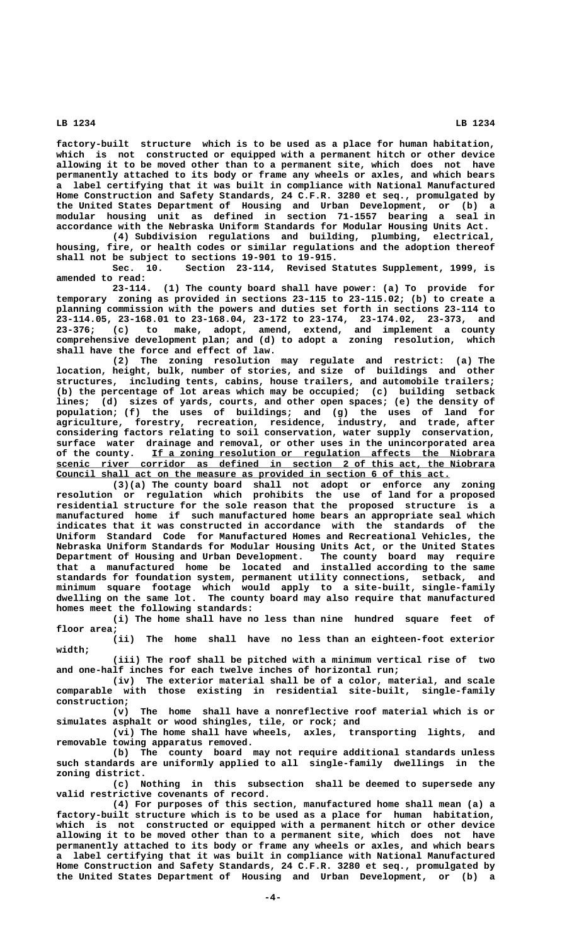**LB 1234 LB 1234 factory-built structure which is to be used as a place for human habitation,**

**which is not constructed or equipped with a permanent hitch or other device allowing it to be moved other than to a permanent site, which does not have permanently attached to its body or frame any wheels or axles, and which bears a label certifying that it was built in compliance with National Manufactured Home Construction and Safety Standards, 24 C.F.R. 3280 et seq., promulgated by the United States Department of Housing and Urban Development, or (b) a modular housing unit as defined in section 71-1557 bearing a seal in accordance with the Nebraska Uniform Standards for Modular Housing Units Act.**

**(4) Subdivision regulations and building, plumbing, electrical, housing, fire, or health codes or similar regulations and the adoption thereof shall not be subject to sections 19-901 to 19-915.**

**Sec. 10. Section 23-114, Revised Statutes Supplement, 1999, is amended to read:**

**23-114. (1) The county board shall have power: (a) To provide for temporary zoning as provided in sections 23-115 to 23-115.02; (b) to create a planning commission with the powers and duties set forth in sections 23-114 to 23-114.05, 23-168.01 to 23-168.04, 23-172 to 23-174, 23-174.02, 23-373, and 23-376; (c) to make, adopt, amend, extend, and implement a county comprehensive development plan; and (d) to adopt a zoning resolution, which shall have the force and effect of law.**

**(2) The zoning resolution may regulate and restrict: (a) The location, height, bulk, number of stories, and size of buildings and other structures, including tents, cabins, house trailers, and automobile trailers; (b) the percentage of lot areas which may be occupied; (c) building setback lines; (d) sizes of yards, courts, and other open spaces; (e) the density of population; (f) the uses of buildings; and (g) the uses of land for agriculture, forestry, recreation, residence, industry, and trade, after considering factors relating to soil conservation, water supply conservation, surface water drainage and removal, or other uses in the unincorporated area \_\_\_\_\_\_\_\_\_\_\_\_\_\_\_\_\_\_\_\_\_\_\_\_\_\_\_\_\_\_\_\_\_\_\_\_\_\_\_\_\_\_\_\_\_\_\_\_\_\_\_\_\_\_\_\_\_\_\_\_\_ of the county. If a zoning resolution or regulation affects the Niobrara \_\_\_\_\_\_\_\_\_\_\_\_\_\_\_\_\_\_\_\_\_\_\_\_\_\_\_\_\_\_\_\_\_\_\_\_\_\_\_\_\_\_\_\_\_\_\_\_\_\_\_\_\_\_\_\_\_\_\_\_\_\_\_\_\_\_\_\_\_\_\_\_\_\_\_\_\_\_ scenic river corridor as defined in section 2 of this act, the Niobrara** Council shall act on the measure as provided in section 6 of this act.

**(3)(a) The county board shall not adopt or enforce any zoning resolution or regulation which prohibits the use of land for a proposed residential structure for the sole reason that the proposed structure is a manufactured home if such manufactured home bears an appropriate seal which indicates that it was constructed in accordance with the standards of the Uniform Standard Code for Manufactured Homes and Recreational Vehicles, the Nebraska Uniform Standards for Modular Housing Units Act, or the United States Department of Housing and Urban Development. The county board may require that a manufactured home be located and installed according to the same standards for foundation system, permanent utility connections, setback, and minimum square footage which would apply to a site-built, single-family dwelling on the same lot. The county board may also require that manufactured homes meet the following standards:**

**(i) The home shall have no less than nine hundred square feet of floor area;**

**(ii) The home shall have no less than an eighteen-foot exterior width;**

**(iii) The roof shall be pitched with a minimum vertical rise of two and one-half inches for each twelve inches of horizontal run;**

**(iv) The exterior material shall be of a color, material, and scale comparable with those existing in residential site-built, single-family construction;**

**(v) The home shall have a nonreflective roof material which is or simulates asphalt or wood shingles, tile, or rock; and**

**(vi) The home shall have wheels, axles, transporting lights, and removable towing apparatus removed.**

**(b) The county board may not require additional standards unless such standards are uniformly applied to all single-family dwellings in the zoning district.**

**(c) Nothing in this subsection shall be deemed to supersede any valid restrictive covenants of record.**

**(4) For purposes of this section, manufactured home shall mean (a) a factory-built structure which is to be used as a place for human habitation, which is not constructed or equipped with a permanent hitch or other device allowing it to be moved other than to a permanent site, which does not have permanently attached to its body or frame any wheels or axles, and which bears a label certifying that it was built in compliance with National Manufactured Home Construction and Safety Standards, 24 C.F.R. 3280 et seq., promulgated by the United States Department of Housing and Urban Development, or (b) a**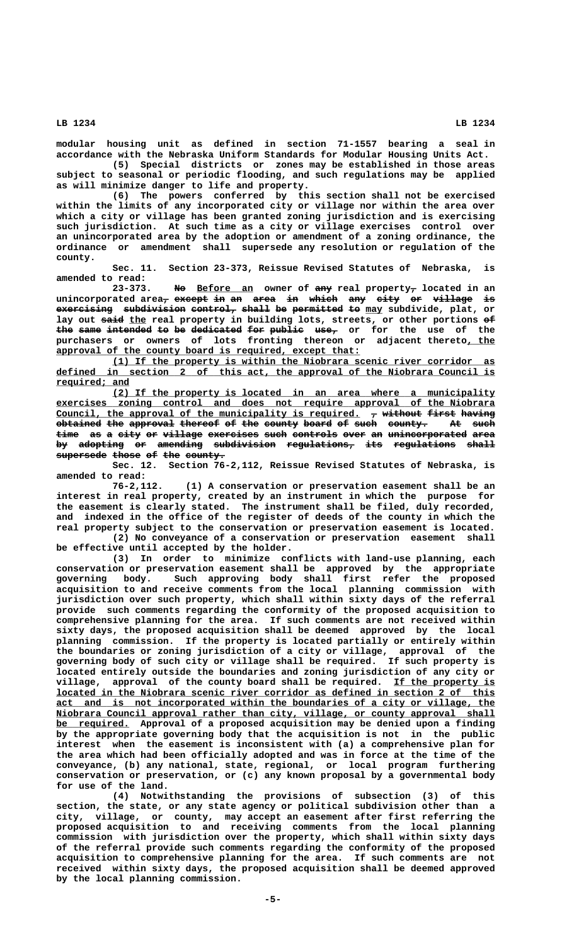**modular housing unit as defined in section 71-1557 bearing a seal in accordance with the Nebraska Uniform Standards for Modular Housing Units Act.**

**(5) Special districts or zones may be established in those areas subject to seasonal or periodic flooding, and such regulations may be applied as will minimize danger to life and property.**

**(6) The powers conferred by this section shall not be exercised within the limits of any incorporated city or village nor within the area over which a city or village has been granted zoning jurisdiction and is exercising such jurisdiction. At such time as a city or village exercises control over an unincorporated area by the adoption or amendment of a zoning ordinance, the ordinance or amendment shall supersede any resolution or regulation of the county.**

**Sec. 11. Section 23-373, Reissue Revised Statutes of Nebraska, is amended to read:**

 **—— \_\_\_\_\_\_\_\_\_\_ ——— — 23-373. No Before an owner of any real property, located in an**  $unincorrected area<sub>7</sub> except in an area in which any city or willage is$ **exercising subdivision control, shall be permitted to may subdivide, plat, or** lay out said the real property in building lots, streets, or other portions  $\epsilon$ the same intended to be dedicated for public use<sub>7</sub> or for the use of the purchasers or owners of lots fronting thereon or adjacent thereto, the approval of the county board is required, except that:

 **\_\_\_\_\_\_\_\_\_\_\_\_\_\_\_\_\_\_\_\_\_\_\_\_\_\_\_\_\_\_\_\_\_\_\_\_\_\_\_\_\_\_\_\_\_\_\_\_\_\_\_\_\_\_\_\_\_\_\_\_\_\_\_\_\_\_\_\_ (1) If the property is within the Niobrara scenic river corridor as \_\_\_\_\_\_\_\_\_\_\_\_\_\_\_\_\_\_\_\_\_\_\_\_\_\_\_\_\_\_\_\_\_\_\_\_\_\_\_\_\_\_\_\_\_\_\_\_\_\_\_\_\_\_\_\_\_\_\_\_\_\_\_\_\_\_\_\_\_\_\_\_\_\_\_\_\_\_ defined in section 2 of this act, the approval of the Niobrara Council is required; and \_\_\_\_\_\_\_\_\_\_\_\_\_**

 **\_\_\_\_\_\_\_\_\_\_\_\_\_\_\_\_\_\_\_\_\_\_\_\_\_\_\_\_\_\_\_\_\_\_\_\_\_\_\_\_\_\_\_\_\_\_\_\_\_\_\_\_\_\_\_\_\_\_\_\_\_\_\_\_\_\_\_\_ (2) If the property is located in an area where a municipality \_\_\_\_\_\_\_\_\_\_\_\_\_\_\_\_\_\_\_\_\_\_\_\_\_\_\_\_\_\_\_\_\_\_\_\_\_\_\_\_\_\_\_\_\_\_\_\_\_\_\_\_\_\_\_\_\_\_\_\_\_\_\_\_\_\_\_\_\_\_\_\_\_\_\_\_\_\_ exercises zoning control and does not require approval of the Niobrara** Council, the approval of the municipality is required.  $\tau$  without first having **obtained the approval thereof of the county board of such county. At such** time as a city or village exercises such controls over an unincorporated area by adopting or amending subdivision regulations, its regulations shall  $supergede$  those of the county.

**Sec. 12. Section 76-2,112, Reissue Revised Statutes of Nebraska, is amended to read:**

**76-2,112. (1) A conservation or preservation easement shall be an interest in real property, created by an instrument in which the purpose for the easement is clearly stated. The instrument shall be filed, duly recorded, and indexed in the office of the register of deeds of the county in which the real property subject to the conservation or preservation easement is located. (2) No conveyance of a conservation or preservation easement shall**

**be effective until accepted by the holder.**

**(3) In order to minimize conflicts with land-use planning, each conservation or preservation easement shall be approved by the appropriate governing body. Such approving body shall first refer the proposed acquisition to and receive comments from the local planning commission with jurisdiction over such property, which shall within sixty days of the referral provide such comments regarding the conformity of the proposed acquisition to comprehensive planning for the area. If such comments are not received within sixty days, the proposed acquisition shall be deemed approved by the local planning commission. If the property is located partially or entirely within the boundaries or zoning jurisdiction of a city or village, approval of the governing body of such city or village shall be required. If such property is located entirely outside the boundaries and zoning jurisdiction of any city or** village, approval of the county board shall be required. If the property is  **\_\_\_\_\_\_\_\_\_\_\_\_\_\_\_\_\_\_\_\_\_\_\_\_\_\_\_\_\_\_\_\_\_\_\_\_\_\_\_\_\_\_\_\_\_\_\_\_\_\_\_\_\_\_\_\_\_\_\_\_\_\_\_\_\_\_\_\_\_\_\_\_\_\_\_\_\_\_ located in the Niobrara scenic river corridor as defined in section 2 of this \_\_\_\_\_\_\_\_\_\_\_\_\_\_\_\_\_\_\_\_\_\_\_\_\_\_\_\_\_\_\_\_\_\_\_\_\_\_\_\_\_\_\_\_\_\_\_\_\_\_\_\_\_\_\_\_\_\_\_\_\_\_\_\_\_\_\_\_\_\_\_\_\_\_\_\_\_\_ act and is not incorporated within the boundaries of a city or village, the \_\_\_\_\_\_\_\_\_\_\_\_\_\_\_\_\_\_\_\_\_\_\_\_\_\_\_\_\_\_\_\_\_\_\_\_\_\_\_\_\_\_\_\_\_\_\_\_\_\_\_\_\_\_\_\_\_\_\_\_\_\_\_\_\_\_\_\_\_\_\_\_\_\_\_\_\_\_ Niobrara Council approval rather than city, village, or county approval shall \_\_\_\_\_\_\_\_\_\_\_\_\_ be required. Approval of a proposed acquisition may be denied upon a finding by the appropriate governing body that the acquisition is not in the public interest when the easement is inconsistent with (a) a comprehensive plan for the area which had been officially adopted and was in force at the time of the conveyance, (b) any national, state, regional, or local program furthering conservation or preservation, or (c) any known proposal by a governmental body for use of the land.**

**(4) Notwithstanding the provisions of subsection (3) of this section, the state, or any state agency or political subdivision other than a city, village, or county, may accept an easement after first referring the proposed acquisition to and receiving comments from the local planning commission with jurisdiction over the property, which shall within sixty days of the referral provide such comments regarding the conformity of the proposed acquisition to comprehensive planning for the area. If such comments are not received within sixty days, the proposed acquisition shall be deemed approved by the local planning commission.**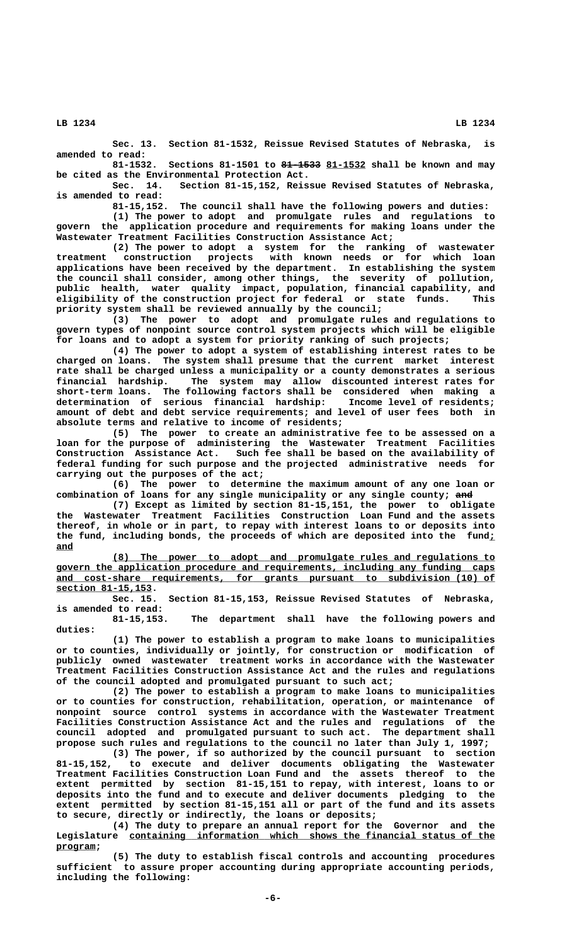**Sec. 13. Section 81-1532, Reissue Revised Statutes of Nebraska, is amended to read:**

Sections 81-1501 to 81-1533 81-1532 shall be known and may **be cited as the Environmental Protection Act.**

**Sec. 14. Section 81-15,152, Reissue Revised Statutes of Nebraska, is amended to read:**

**81-15,152. The council shall have the following powers and duties:**

**(1) The power to adopt and promulgate rules and regulations to govern the application procedure and requirements for making loans under the Wastewater Treatment Facilities Construction Assistance Act;**

**(2) The power to adopt a system for the ranking of wastewater treatment construction projects with known needs or for which loan applications have been received by the department. In establishing the system the council shall consider, among other things, the severity of pollution, public health, water quality impact, population, financial capability, and eligibility of the construction project for federal or state funds. This priority system shall be reviewed annually by the council;**

**(3) The power to adopt and promulgate rules and regulations to govern types of nonpoint source control system projects which will be eligible for loans and to adopt a system for priority ranking of such projects;**

**(4) The power to adopt a system of establishing interest rates to be charged on loans. The system shall presume that the current market interest rate shall be charged unless a municipality or a county demonstrates a serious financial hardship. The system may allow discounted interest rates for short-term loans. The following factors shall be considered when making a determination of serious financial hardship: Income level of residents; amount of debt and debt service requirements; and level of user fees both in absolute terms and relative to income of residents;**

**(5) The power to create an administrative fee to be assessed on a loan for the purpose of administering the Wastewater Treatment Facilities Construction Assistance Act. Such fee shall be based on the availability of federal funding for such purpose and the projected administrative needs for carrying out the purposes of the act;**

**(6) The power to determine the maximum amount of any one loan or** combination of loans for any single municipality or any single county; and

**(7) Except as limited by section 81-15,151, the power to obligate the Wastewater Treatment Facilities Construction Loan Fund and the assets thereof, in whole or in part, to repay with interest loans to or deposits into the fund, including bonds, the proceeds of which are deposited into the fund;\_ and \_\_\_**

 **\_\_\_\_\_\_\_\_\_\_\_\_\_\_\_\_\_\_\_\_\_\_\_\_\_\_\_\_\_\_\_\_\_\_\_\_\_\_\_\_\_\_\_\_\_\_\_\_\_\_\_\_\_\_\_\_\_\_\_\_\_\_\_\_\_\_\_\_ (8) The power to adopt and promulgate rules and regulations to \_\_\_\_\_\_\_\_\_\_\_\_\_\_\_\_\_\_\_\_\_\_\_\_\_\_\_\_\_\_\_\_\_\_\_\_\_\_\_\_\_\_\_\_\_\_\_\_\_\_\_\_\_\_\_\_\_\_\_\_\_\_\_\_\_\_\_\_\_\_\_\_\_\_\_\_\_\_ govern the application procedure and requirements, including any funding caps \_\_\_\_\_\_\_\_\_\_\_\_\_\_\_\_\_\_\_\_\_\_\_\_\_\_\_\_\_\_\_\_\_\_\_\_\_\_\_\_\_\_\_\_\_\_\_\_\_\_\_\_\_\_\_\_\_\_\_\_\_\_\_\_\_\_\_\_\_\_\_\_\_\_\_\_\_\_ and cost-share requirements, for grants pursuant to subdivision (10) of section 81-15,153. \_\_\_\_\_\_\_\_\_\_\_\_\_\_\_\_\_**

**Sec. 15. Section 81-15,153, Reissue Revised Statutes of Nebraska, is amended to read:**

**81-15,153. The department shall have the following powers and duties:**

**(1) The power to establish a program to make loans to municipalities or to counties, individually or jointly, for construction or modification of publicly owned wastewater treatment works in accordance with the Wastewater Treatment Facilities Construction Assistance Act and the rules and regulations of the council adopted and promulgated pursuant to such act;**

**(2) The power to establish a program to make loans to municipalities or to counties for construction, rehabilitation, operation, or maintenance of nonpoint source control systems in accordance with the Wastewater Treatment Facilities Construction Assistance Act and the rules and regulations of the council adopted and promulgated pursuant to such act. The department shall propose such rules and regulations to the council no later than July 1, 1997;**

**(3) The power, if so authorized by the council pursuant to section 81-15,152, to execute and deliver documents obligating the Wastewater Treatment Facilities Construction Loan Fund and the assets thereof to the extent permitted by section 81-15,151 to repay, with interest, loans to or deposits into the fund and to execute and deliver documents pledging to the extent permitted by section 81-15,151 all or part of the fund and its assets to secure, directly or indirectly, the loans or deposits;**

**(4) The duty to prepare an annual report for the Governor and the** Legislature containing information which shows the financial status of the  **program; \_\_\_\_\_\_\_**

**(5) The duty to establish fiscal controls and accounting procedures sufficient to assure proper accounting during appropriate accounting periods, including the following:**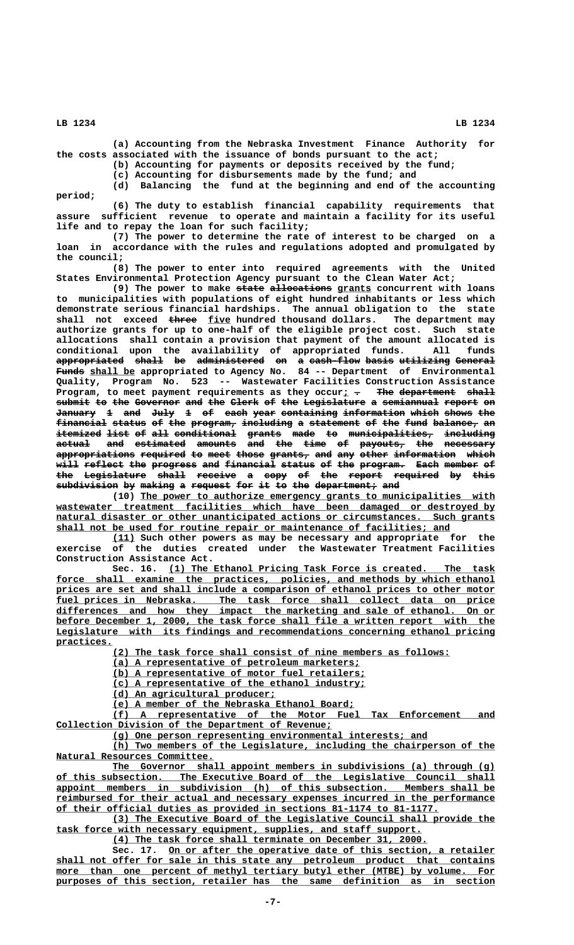**(a) Accounting from the Nebraska Investment Finance Authority for the costs associated with the issuance of bonds pursuant to the act;**

**(b) Accounting for payments or deposits received by the fund;**

**(c) Accounting for disbursements made by the fund; and**

**(d) Balancing the fund at the beginning and end of the accounting period;**

**(6) The duty to establish financial capability requirements that assure sufficient revenue to operate and maintain a facility for its useful life and to repay the loan for such facility;**

**(7) The power to determine the rate of interest to be charged on a loan in accordance with the rules and regulations adopted and promulgated by the council;**

**(8) The power to enter into required agreements with the United States Environmental Protection Agency pursuant to the Clean Water Act;**

(9) The power to make state allocations grants concurrent with loans **to municipalities with populations of eight hundred inhabitants or less which demonstrate serious financial hardships. The annual obligation to the state** shall not exceed three five hundred thousand dollars. The department may **authorize grants for up to one-half of the eligible project cost. Such state allocations shall contain a provision that payment of the amount allocated is conditional upon the availability of appropriated funds. All funds appropriated shall be administered on a cash-flow basis utilizing General ———————————— ————— —— ———————————— —— — ————————— ————— ————————— ——————— ————— \_\_\_\_\_\_\_\_ Funds shall be appropriated to Agency No. 84 -- Department of Environmental Quality, Program No. 523 -- Wastewater Facilities Construction Assistance** Program, to meet payment requirements as they occur<sub>i</sub> - The department shall submit to the Governor and the Clerk of the Legislature a semiannual report on January 1 and July 1 of each year containing information which shows the  $f$ inancial status of the program, including a statement of the fund balance, an itemized list of all conditional grants made to municipalities, including  $\texttt{actual}$  and estimated amounts and the time of payouts, the necessary **appropriations required to meet those grants, and any other information which —————————————— ———————— —— ———— ————— ——————— ——— ——— ————— ——————————— ————** will reflect the progress and financial status of the program. Each member of the Legislature shall receive a copy of the report required by this subdivision by making a request for it to the department, and

> **\_\_\_\_\_\_\_\_\_\_\_\_\_\_\_\_\_\_\_\_\_\_\_\_\_\_\_\_\_\_\_\_\_\_\_\_\_\_\_\_\_\_\_\_\_\_\_\_\_\_\_\_\_\_\_\_\_\_\_\_\_\_\_ (10) The power to authorize emergency grants to municipalities with \_\_\_\_\_\_\_\_\_\_\_\_\_\_\_\_\_\_\_\_\_\_\_\_\_\_\_\_\_\_\_\_\_\_\_\_\_\_\_\_\_\_\_\_\_\_\_\_\_\_\_\_\_\_\_\_\_\_\_\_\_\_\_\_\_\_\_\_\_\_\_\_\_\_\_\_\_\_ wastewater treatment facilities which have been damaged or destroyed by**  $natural$  disaster or other unanticipated actions or circumstances. Such grants  **\_\_\_\_\_\_\_\_\_\_\_\_\_\_\_\_\_\_\_\_\_\_\_\_\_\_\_\_\_\_\_\_\_\_\_\_\_\_\_\_\_\_\_\_\_\_\_\_\_\_\_\_\_\_\_\_\_\_\_\_\_\_\_\_\_\_\_\_\_\_ shall not be used for routine repair or maintenance of facilities; and**

> **\_\_\_\_ (11) Such other powers as may be necessary and appropriate for the exercise of the duties created under the Wastewater Treatment Facilities Construction Assistance Act.**

> **\_\_\_\_\_\_\_\_\_\_\_\_\_\_\_\_\_\_\_\_\_\_\_\_\_\_\_\_\_\_\_\_\_\_\_\_\_\_\_\_\_\_\_\_\_\_\_\_\_\_\_\_\_\_\_\_\_\_ Sec. 16. (1) The Ethanol Pricing Task Force is created. The task** force shall examine the practices, policies, and methods by which ethanol prices are set and shall include a comparison of ethanol prices to other motor  **\_\_\_\_\_\_\_\_\_\_\_\_\_\_\_\_\_\_\_\_\_\_\_\_\_\_\_\_\_\_\_\_\_\_\_\_\_\_\_\_\_\_\_\_\_\_\_\_\_\_\_\_\_\_\_\_\_\_\_\_\_\_\_\_\_\_\_\_\_\_\_\_\_\_\_\_\_\_ fuel prices in Nebraska. The task force shall collect data on price** differences and how they impact the marketing and sale of ethanol. On or  **\_\_\_\_\_\_\_\_\_\_\_\_\_\_\_\_\_\_\_\_\_\_\_\_\_\_\_\_\_\_\_\_\_\_\_\_\_\_\_\_\_\_\_\_\_\_\_\_\_\_\_\_\_\_\_\_\_\_\_\_\_\_\_\_\_\_\_\_\_\_\_\_\_\_\_\_\_\_ before December 1, 2000, the task force shall file a written report with the \_\_\_\_\_\_\_\_\_\_\_\_\_\_\_\_\_\_\_\_\_\_\_\_\_\_\_\_\_\_\_\_\_\_\_\_\_\_\_\_\_\_\_\_\_\_\_\_\_\_\_\_\_\_\_\_\_\_\_\_\_\_\_\_\_\_\_\_\_\_\_\_\_\_\_\_\_\_ Legislature with its findings and recommendations concerning ethanol pricing practices. \_\_\_\_\_\_\_\_\_\_**

> > **\_\_\_\_\_\_\_\_\_\_\_\_\_\_\_\_\_\_\_\_\_\_\_\_\_\_\_\_\_\_\_\_\_\_\_\_\_\_\_\_\_\_\_\_\_\_\_\_\_\_\_\_\_\_\_\_\_\_\_\_ (2) The task force shall consist of nine members as follows:**

 **\_\_\_\_\_\_\_\_\_\_\_\_\_\_\_\_\_\_\_\_\_\_\_\_\_\_\_\_\_\_\_\_\_\_\_\_\_\_\_\_\_\_\_\_ (a) A representative of petroleum marketers;**

 **\_\_\_\_\_\_\_\_\_\_\_\_\_\_\_\_\_\_\_\_\_\_\_\_\_\_\_\_\_\_\_\_\_\_\_\_\_\_\_\_\_\_\_\_\_ (b) A representative of motor fuel retailers;**

 **\_\_\_\_\_\_\_\_\_\_\_\_\_\_\_\_\_\_\_\_\_\_\_\_\_\_\_\_\_\_\_\_\_\_\_\_\_\_\_\_\_\_\_\_\_ (c) A representative of the ethanol industry;**

 **\_\_\_\_\_\_\_\_\_\_\_\_\_\_\_\_\_\_\_\_\_\_\_\_\_\_\_\_\_ (d) An agricultural producer;**

 **\_\_\_\_\_\_\_\_\_\_\_\_\_\_\_\_\_\_\_\_\_\_\_\_\_\_\_\_\_\_\_\_\_\_\_\_\_\_\_\_\_\_\_ (e) A member of the Nebraska Ethanol Board;**

 **\_\_\_\_\_\_\_\_\_\_\_\_\_\_\_\_\_\_\_\_\_\_\_\_\_\_\_\_\_\_\_\_\_\_\_\_\_\_\_\_\_\_\_\_\_\_\_\_\_\_\_\_\_\_\_\_\_\_\_\_\_\_\_\_\_\_\_\_ (f) A representative of the Motor Fuel Tax Enforcement and \_\_\_\_\_\_\_\_\_\_\_\_\_\_\_\_\_\_\_\_\_\_\_\_\_\_\_\_\_\_\_\_\_\_\_\_\_\_\_\_\_\_\_\_\_\_\_\_\_ Collection Division of the Department of Revenue;**

 **\_\_\_\_\_\_\_\_\_\_\_\_\_\_\_\_\_\_\_\_\_\_\_\_\_\_\_\_\_\_\_\_\_\_\_\_\_\_\_\_\_\_\_\_\_\_\_\_\_\_\_\_\_\_\_\_ (g) One person representing environmental interests; and**

 **\_\_\_\_\_\_\_\_\_\_\_\_\_\_\_\_\_\_\_\_\_\_\_\_\_\_\_\_\_\_\_\_\_\_\_\_\_\_\_\_\_\_\_\_\_\_\_\_\_\_\_\_\_\_\_\_\_\_\_\_\_\_\_\_\_\_\_\_ (h) Two members of the Legislature, including the chairperson of the \_\_\_\_\_\_\_\_\_\_\_\_\_\_\_\_\_\_\_\_\_\_\_\_\_\_\_\_ Natural Resources Committee.**

 **\_\_\_\_\_\_\_\_\_\_\_\_\_\_\_\_\_\_\_\_\_\_\_\_\_\_\_\_\_\_\_\_\_\_\_\_\_\_\_\_\_\_\_\_\_\_\_\_\_\_\_\_\_\_\_\_\_\_\_\_\_\_\_\_\_\_\_\_ The Governor shall appoint members in subdivisions (a) through (g) \_\_\_\_\_\_\_\_\_\_\_\_\_\_\_\_\_\_\_\_\_\_\_\_\_\_\_\_\_\_\_\_\_\_\_\_\_\_\_\_\_\_\_\_\_\_\_\_\_\_\_\_\_\_\_\_\_\_\_\_\_\_\_\_\_\_\_\_\_\_\_\_\_\_\_\_\_\_ of this subsection. The Executive Board of the Legislative Council shall \_\_\_\_\_\_\_\_\_\_\_\_\_\_\_\_\_\_\_\_\_\_\_\_\_\_\_\_\_\_\_\_\_\_\_\_\_\_\_\_\_\_\_\_\_\_\_\_\_\_\_\_\_\_\_\_\_\_\_\_\_\_\_\_\_\_\_\_\_\_\_\_\_\_\_\_\_\_ appoint members in subdivision (h) of this subsection. Members shall be \_\_\_\_\_\_\_\_\_\_\_\_\_\_\_\_\_\_\_\_\_\_\_\_\_\_\_\_\_\_\_\_\_\_\_\_\_\_\_\_\_\_\_\_\_\_\_\_\_\_\_\_\_\_\_\_\_\_\_\_\_\_\_\_\_\_\_\_\_\_\_\_\_\_\_\_\_\_ reimbursed for their actual and necessary expenses incurred in the performance \_\_\_\_\_\_\_\_\_\_\_\_\_\_\_\_\_\_\_\_\_\_\_\_\_\_\_\_\_\_\_\_\_\_\_\_\_\_\_\_\_\_\_\_\_\_\_\_\_\_\_\_\_\_\_\_\_\_\_\_\_\_\_\_\_\_\_\_ of their official duties as provided in sections 81-1174 to 81-1177.**

 **\_\_\_\_\_\_\_\_\_\_\_\_\_\_\_\_\_\_\_\_\_\_\_\_\_\_\_\_\_\_\_\_\_\_\_\_\_\_\_\_\_\_\_\_\_\_\_\_\_\_\_\_\_\_\_\_\_\_\_\_\_\_\_\_\_\_\_\_ (3) The Executive Board of the Legislative Council shall provide the \_\_\_\_\_\_\_\_\_\_\_\_\_\_\_\_\_\_\_\_\_\_\_\_\_\_\_\_\_\_\_\_\_\_\_\_\_\_\_\_\_\_\_\_\_\_\_\_\_\_\_\_\_\_\_\_\_\_\_\_\_\_\_\_\_ task force with necessary equipment, supplies, and staff support.**

 **\_\_\_\_\_\_\_\_\_\_\_\_\_\_\_\_\_\_\_\_\_\_\_\_\_\_\_\_\_\_\_\_\_\_\_\_\_\_\_\_\_\_\_\_\_\_\_\_\_\_\_\_\_\_\_\_ (4) The task force shall terminate on December 31, 2000.**

 **\_\_\_\_\_\_\_\_\_\_\_\_\_\_\_\_\_\_\_\_\_\_\_\_\_\_\_\_\_\_\_\_\_\_\_\_\_\_\_\_\_\_\_\_\_\_\_\_\_\_\_\_\_\_\_\_\_\_ Sec. 17. On or after the operative date of this section, a retailer \_\_\_\_\_\_\_\_\_\_\_\_\_\_\_\_\_\_\_\_\_\_\_\_\_\_\_\_\_\_\_\_\_\_\_\_\_\_\_\_\_\_\_\_\_\_\_\_\_\_\_\_\_\_\_\_\_\_\_\_\_\_\_\_\_\_\_\_\_\_\_\_\_\_\_\_\_\_ shall not offer for sale in this state any petroleum product that contains** more than one percent of methyl tertiary butyl ether (MTBE) by volume. For  **\_\_\_\_\_\_\_\_\_\_\_\_\_\_\_\_\_\_\_\_\_\_\_\_\_\_\_\_\_\_\_\_\_\_\_\_\_\_\_\_\_\_\_\_\_\_\_\_\_\_\_\_\_\_\_\_\_\_\_\_\_\_\_\_\_\_\_\_\_\_\_\_\_\_\_\_\_\_ purposes of this section, retailer has the same definition as in section**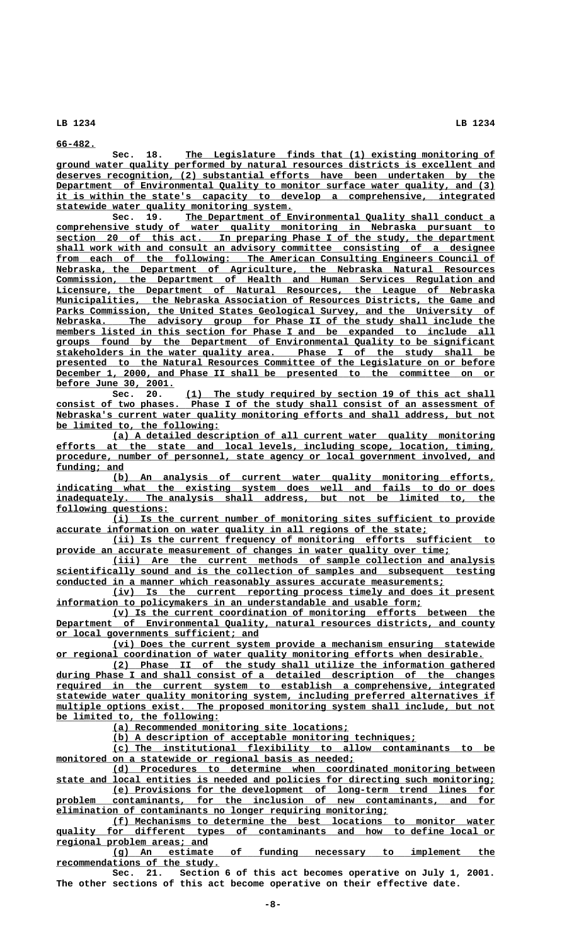**66-482. \_\_\_\_\_\_\_**

 **\_\_\_\_\_\_\_\_\_\_\_\_\_\_\_\_\_\_\_\_\_\_\_\_\_\_\_\_\_\_\_\_\_\_\_\_\_\_\_\_\_\_\_\_\_\_\_\_\_\_\_\_\_\_\_ Sec. 18. The Legislature finds that (1) existing monitoring of \_\_\_\_\_\_\_\_\_\_\_\_\_\_\_\_\_\_\_\_\_\_\_\_\_\_\_\_\_\_\_\_\_\_\_\_\_\_\_\_\_\_\_\_\_\_\_\_\_\_\_\_\_\_\_\_\_\_\_\_\_\_\_\_\_\_\_\_\_\_\_\_\_\_\_\_\_\_ ground water quality performed by natural resources districts is excellent and \_\_\_\_\_\_\_\_\_\_\_\_\_\_\_\_\_\_\_\_\_\_\_\_\_\_\_\_\_\_\_\_\_\_\_\_\_\_\_\_\_\_\_\_\_\_\_\_\_\_\_\_\_\_\_\_\_\_\_\_\_\_\_\_\_\_\_\_\_\_\_\_\_\_\_\_\_\_ deserves recognition, (2) substantial efforts have been undertaken by the** Department of Environmental Quality to monitor surface water quality, and (3)  **\_\_\_\_\_\_\_\_\_\_\_\_\_\_\_\_\_\_\_\_\_\_\_\_\_\_\_\_\_\_\_\_\_\_\_\_\_\_\_\_\_\_\_\_\_\_\_\_\_\_\_\_\_\_\_\_\_\_\_\_\_\_\_\_\_\_\_\_\_\_\_\_\_\_\_\_\_\_ it is within the state's capacity to develop a comprehensive, integrated \_\_\_\_\_\_\_\_\_\_\_\_\_\_\_\_\_\_\_\_\_\_\_\_\_\_\_\_\_\_\_\_\_\_\_\_\_\_\_\_\_\_ statewide water quality monitoring system.**

Sec. 19. The Department of Environmental Quality shall conduct a  **\_\_\_\_\_\_\_\_\_\_\_\_\_\_\_\_\_\_\_\_\_\_\_\_\_\_\_\_\_\_\_\_\_\_\_\_\_\_\_\_\_\_\_\_\_\_\_\_\_\_\_\_\_\_\_\_\_\_\_\_\_\_\_\_\_\_\_\_\_\_\_\_\_\_\_\_\_\_ comprehensive study of water quality monitoring in Nebraska pursuant to \_\_\_\_\_\_\_\_\_\_\_\_\_\_\_\_\_\_\_\_\_\_\_\_\_\_\_\_\_\_\_\_\_\_\_\_\_\_\_\_\_\_\_\_\_\_\_\_\_\_\_\_\_\_\_\_\_\_\_\_\_\_\_\_\_\_\_\_\_\_\_\_\_\_\_\_\_\_ section 20 of this act. In preparing Phase I of the study, the department \_\_\_\_\_\_\_\_\_\_\_\_\_\_\_\_\_\_\_\_\_\_\_\_\_\_\_\_\_\_\_\_\_\_\_\_\_\_\_\_\_\_\_\_\_\_\_\_\_\_\_\_\_\_\_\_\_\_\_\_\_\_\_\_\_\_\_\_\_\_\_\_\_\_\_\_\_\_ shall work with and consult an advisory committee consisting of a designee** from each of the following: The American Consulting Engineers Council of  **\_\_\_\_\_\_\_\_\_\_\_\_\_\_\_\_\_\_\_\_\_\_\_\_\_\_\_\_\_\_\_\_\_\_\_\_\_\_\_\_\_\_\_\_\_\_\_\_\_\_\_\_\_\_\_\_\_\_\_\_\_\_\_\_\_\_\_\_\_\_\_\_\_\_\_\_\_\_ Nebraska, the Department of Agriculture, the Nebraska Natural Resources \_\_\_\_\_\_\_\_\_\_\_\_\_\_\_\_\_\_\_\_\_\_\_\_\_\_\_\_\_\_\_\_\_\_\_\_\_\_\_\_\_\_\_\_\_\_\_\_\_\_\_\_\_\_\_\_\_\_\_\_\_\_\_\_\_\_\_\_\_\_\_\_\_\_\_\_\_\_ Commission, the Department of Health and Human Services Regulation and \_\_\_\_\_\_\_\_\_\_\_\_\_\_\_\_\_\_\_\_\_\_\_\_\_\_\_\_\_\_\_\_\_\_\_\_\_\_\_\_\_\_\_\_\_\_\_\_\_\_\_\_\_\_\_\_\_\_\_\_\_\_\_\_\_\_\_\_\_\_\_\_\_\_\_\_\_\_ Licensure, the Department of Natural Resources, the League of Nebraska \_\_\_\_\_\_\_\_\_\_\_\_\_\_\_\_\_\_\_\_\_\_\_\_\_\_\_\_\_\_\_\_\_\_\_\_\_\_\_\_\_\_\_\_\_\_\_\_\_\_\_\_\_\_\_\_\_\_\_\_\_\_\_\_\_\_\_\_\_\_\_\_\_\_\_\_\_\_ Municipalities, the Nebraska Association of Resources Districts, the Game and** Parks Commission, the United States Geological Survey, and the University of  $Nebraska.$  The advisory group for Phase II of the study shall include the members listed in this section for Phase I and be expanded to include all  **\_\_\_\_\_\_\_\_\_\_\_\_\_\_\_\_\_\_\_\_\_\_\_\_\_\_\_\_\_\_\_\_\_\_\_\_\_\_\_\_\_\_\_\_\_\_\_\_\_\_\_\_\_\_\_\_\_\_\_\_\_\_\_\_\_\_\_\_\_\_\_\_\_\_\_\_\_\_ groups found by the Department of Environmental Quality to be significant \_\_\_\_\_\_\_\_\_\_\_\_\_\_\_\_\_\_\_\_\_\_\_\_\_\_\_\_\_\_\_\_\_\_\_\_\_\_\_\_\_\_\_\_\_\_\_\_\_\_\_\_\_\_\_\_\_\_\_\_\_\_\_\_\_\_\_\_\_\_\_\_\_\_\_\_\_\_ stakeholders in the water quality area. Phase I of the study shall be \_\_\_\_\_\_\_\_\_\_\_\_\_\_\_\_\_\_\_\_\_\_\_\_\_\_\_\_\_\_\_\_\_\_\_\_\_\_\_\_\_\_\_\_\_\_\_\_\_\_\_\_\_\_\_\_\_\_\_\_\_\_\_\_\_\_\_\_\_\_\_\_\_\_\_\_\_\_ presented to the Natural Resources Committee of the Legislature on or before \_\_\_\_\_\_\_\_\_\_\_\_\_\_\_\_\_\_\_\_\_\_\_\_\_\_\_\_\_\_\_\_\_\_\_\_\_\_\_\_\_\_\_\_\_\_\_\_\_\_\_\_\_\_\_\_\_\_\_\_\_\_\_\_\_\_\_\_\_\_\_\_\_\_\_\_\_\_ December 1, 2000, and Phase II shall be presented to the committee on or \_\_\_\_\_\_\_\_\_\_\_\_\_\_\_\_\_\_\_\_\_ before June 30, 2001.**

Sec. 20. (1) The study required by section 19 of this act shall  **\_\_\_\_\_\_\_\_\_\_\_\_\_\_\_\_\_\_\_\_\_\_\_\_\_\_\_\_\_\_\_\_\_\_\_\_\_\_\_\_\_\_\_\_\_\_\_\_\_\_\_\_\_\_\_\_\_\_\_\_\_\_\_\_\_\_\_\_\_\_\_\_\_\_\_\_\_\_ consist of two phases. Phase I of the study shall consist of an assessment of** Nebraska's current water quality monitoring efforts and shall address, but not  **\_\_\_\_\_\_\_\_\_\_\_\_\_\_\_\_\_\_\_\_\_\_\_\_\_\_\_\_\_ be limited to, the following:**

 **\_\_\_\_\_\_\_\_\_\_\_\_\_\_\_\_\_\_\_\_\_\_\_\_\_\_\_\_\_\_\_\_\_\_\_\_\_\_\_\_\_\_\_\_\_\_\_\_\_\_\_\_\_\_\_\_\_\_\_\_\_\_\_\_\_\_\_\_ (a) A detailed description of all current water quality monitoring \_\_\_\_\_\_\_\_\_\_\_\_\_\_\_\_\_\_\_\_\_\_\_\_\_\_\_\_\_\_\_\_\_\_\_\_\_\_\_\_\_\_\_\_\_\_\_\_\_\_\_\_\_\_\_\_\_\_\_\_\_\_\_\_\_\_\_\_\_\_\_\_\_\_\_\_\_\_ efforts at the state and local levels, including scope, location, timing, \_\_\_\_\_\_\_\_\_\_\_\_\_\_\_\_\_\_\_\_\_\_\_\_\_\_\_\_\_\_\_\_\_\_\_\_\_\_\_\_\_\_\_\_\_\_\_\_\_\_\_\_\_\_\_\_\_\_\_\_\_\_\_\_\_\_\_\_\_\_\_\_\_\_\_\_\_\_ procedure, number of personnel, state agency or local government involved, and funding; and \_\_\_\_\_\_\_\_\_\_\_\_**

 **\_\_\_\_\_\_\_\_\_\_\_\_\_\_\_\_\_\_\_\_\_\_\_\_\_\_\_\_\_\_\_\_\_\_\_\_\_\_\_\_\_\_\_\_\_\_\_\_\_\_\_\_\_\_\_\_\_\_\_\_\_\_\_\_\_\_\_\_ (b) An analysis of current water quality monitoring efforts,** indicating what the existing system does well and fails to do or does inadequately. The analysis shall address, but not be limited to, the The analysis shall address, but not be limited to, the  **following questions: \_\_\_\_\_\_\_\_\_\_\_\_\_\_\_\_\_\_\_\_**

 **\_\_\_\_\_\_\_\_\_\_\_\_\_\_\_\_\_\_\_\_\_\_\_\_\_\_\_\_\_\_\_\_\_\_\_\_\_\_\_\_\_\_\_\_\_\_\_\_\_\_\_\_\_\_\_\_\_\_\_\_\_\_\_\_\_\_\_\_ (i) Is the current number of monitoring sites sufficient to provide \_\_\_\_\_\_\_\_\_\_\_\_\_\_\_\_\_\_\_\_\_\_\_\_\_\_\_\_\_\_\_\_\_\_\_\_\_\_\_\_\_\_\_\_\_\_\_\_\_\_\_\_\_\_\_\_\_\_\_\_\_\_\_\_\_\_ accurate information on water quality in all regions of the state;**

 **\_\_\_\_\_\_\_\_\_\_\_\_\_\_\_\_\_\_\_\_\_\_\_\_\_\_\_\_\_\_\_\_\_\_\_\_\_\_\_\_\_\_\_\_\_\_\_\_\_\_\_\_\_\_\_\_\_\_\_\_\_\_\_\_\_\_\_\_ (ii) Is the current frequency of monitoring efforts sufficient to** provide an accurate measurement of changes in water quality over time;

 **\_\_\_\_\_\_\_\_\_\_\_\_\_\_\_\_\_\_\_\_\_\_\_\_\_\_\_\_\_\_\_\_\_\_\_\_\_\_\_\_\_\_\_\_\_\_\_\_\_\_\_\_\_\_\_\_\_\_\_\_\_\_\_\_\_\_\_\_ (iii) Are the current methods of sample collection and analysis \_\_\_\_\_\_\_\_\_\_\_\_\_\_\_\_\_\_\_\_\_\_\_\_\_\_\_\_\_\_\_\_\_\_\_\_\_\_\_\_\_\_\_\_\_\_\_\_\_\_\_\_\_\_\_\_\_\_\_\_\_\_\_\_\_\_\_\_\_\_\_\_\_\_\_\_\_\_ scientifically sound and is the collection of samples and subsequent testing \_\_\_\_\_\_\_\_\_\_\_\_\_\_\_\_\_\_\_\_\_\_\_\_\_\_\_\_\_\_\_\_\_\_\_\_\_\_\_\_\_\_\_\_\_\_\_\_\_\_\_\_\_\_\_\_\_\_\_\_\_\_\_\_\_\_\_\_\_ conducted in a manner which reasonably assures accurate measurements;**

 **\_\_\_\_\_\_\_\_\_\_\_\_\_\_\_\_\_\_\_\_\_\_\_\_\_\_\_\_\_\_\_\_\_\_\_\_\_\_\_\_\_\_\_\_\_\_\_\_\_\_\_\_\_\_\_\_\_\_\_\_\_\_\_\_\_\_\_\_ (iv) Is the current reporting process timely and does it present \_\_\_\_\_\_\_\_\_\_\_\_\_\_\_\_\_\_\_\_\_\_\_\_\_\_\_\_\_\_\_\_\_\_\_\_\_\_\_\_\_\_\_\_\_\_\_\_\_\_\_\_\_\_\_\_\_\_\_\_\_\_\_\_\_ information to policymakers in an understandable and usable form;**

 **\_\_\_\_\_\_\_\_\_\_\_\_\_\_\_\_\_\_\_\_\_\_\_\_\_\_\_\_\_\_\_\_\_\_\_\_\_\_\_\_\_\_\_\_\_\_\_\_\_\_\_\_\_\_\_\_\_\_\_\_\_\_\_\_\_\_\_\_ (v) Is the current coordination of monitoring efforts between the \_\_\_\_\_\_\_\_\_\_\_\_\_\_\_\_\_\_\_\_\_\_\_\_\_\_\_\_\_\_\_\_\_\_\_\_\_\_\_\_\_\_\_\_\_\_\_\_\_\_\_\_\_\_\_\_\_\_\_\_\_\_\_\_\_\_\_\_\_\_\_\_\_\_\_\_\_\_ Department of Environmental Quality, natural resources districts, and county \_\_\_\_\_\_\_\_\_\_\_\_\_\_\_\_\_\_\_\_\_\_\_\_\_\_\_\_\_\_\_\_\_\_\_\_ or local governments sufficient; and**

 **\_\_\_\_\_\_\_\_\_\_\_\_\_\_\_\_\_\_\_\_\_\_\_\_\_\_\_\_\_\_\_\_\_\_\_\_\_\_\_\_\_\_\_\_\_\_\_\_\_\_\_\_\_\_\_\_\_\_\_\_\_\_\_\_\_\_\_\_ (vi) Does the current system provide a mechanism ensuring statewide \_\_\_\_\_\_\_\_\_\_\_\_\_\_\_\_\_\_\_\_\_\_\_\_\_\_\_\_\_\_\_\_\_\_\_\_\_\_\_\_\_\_\_\_\_\_\_\_\_\_\_\_\_\_\_\_\_\_\_\_\_\_\_\_\_\_\_\_\_\_\_\_\_\_\_\_ or regional coordination of water quality monitoring efforts when desirable.**

 **\_\_\_\_\_\_\_\_\_\_\_\_\_\_\_\_\_\_\_\_\_\_\_\_\_\_\_\_\_\_\_\_\_\_\_\_\_\_\_\_\_\_\_\_\_\_\_\_\_\_\_\_\_\_\_\_\_\_\_\_\_\_\_\_\_\_\_\_ (2) Phase II of the study shall utilize the information gathered \_\_\_\_\_\_\_\_\_\_\_\_\_\_\_\_\_\_\_\_\_\_\_\_\_\_\_\_\_\_\_\_\_\_\_\_\_\_\_\_\_\_\_\_\_\_\_\_\_\_\_\_\_\_\_\_\_\_\_\_\_\_\_\_\_\_\_\_\_\_\_\_\_\_\_\_\_\_ during Phase I and shall consist of a detailed description of the changes \_\_\_\_\_\_\_\_\_\_\_\_\_\_\_\_\_\_\_\_\_\_\_\_\_\_\_\_\_\_\_\_\_\_\_\_\_\_\_\_\_\_\_\_\_\_\_\_\_\_\_\_\_\_\_\_\_\_\_\_\_\_\_\_\_\_\_\_\_\_\_\_\_\_\_\_\_\_ required in the current system to establish a comprehensive, integrated \_\_\_\_\_\_\_\_\_\_\_\_\_\_\_\_\_\_\_\_\_\_\_\_\_\_\_\_\_\_\_\_\_\_\_\_\_\_\_\_\_\_\_\_\_\_\_\_\_\_\_\_\_\_\_\_\_\_\_\_\_\_\_\_\_\_\_\_\_\_\_\_\_\_\_\_\_\_ statewide water quality monitoring system, including preferred alternatives if \_\_\_\_\_\_\_\_\_\_\_\_\_\_\_\_\_\_\_\_\_\_\_\_\_\_\_\_\_\_\_\_\_\_\_\_\_\_\_\_\_\_\_\_\_\_\_\_\_\_\_\_\_\_\_\_\_\_\_\_\_\_\_\_\_\_\_\_\_\_\_\_\_\_\_\_\_\_ multiple options exist. The proposed monitoring system shall include, but not \_\_\_\_\_\_\_\_\_\_\_\_\_\_\_\_\_\_\_\_\_\_\_\_\_\_\_\_\_ be limited to, the following:**

 **\_\_\_\_\_\_\_\_\_\_\_\_\_\_\_\_\_\_\_\_\_\_\_\_\_\_\_\_\_\_\_\_\_\_\_\_\_\_\_\_\_\_ (a) Recommended monitoring site locations;**

 **\_\_\_\_\_\_\_\_\_\_\_\_\_\_\_\_\_\_\_\_\_\_\_\_\_\_\_\_\_\_\_\_\_\_\_\_\_\_\_\_\_\_\_\_\_\_\_\_\_\_\_\_\_\_ (b) A description of acceptable monitoring techniques;**

 **\_\_\_\_\_\_\_\_\_\_\_\_\_\_\_\_\_\_\_\_\_\_\_\_\_\_\_\_\_\_\_\_\_\_\_\_\_\_\_\_\_\_\_\_\_\_\_\_\_\_\_\_\_\_\_\_\_\_\_\_\_\_\_\_\_\_\_\_ (c) The institutional flexibility to allow contaminants to be**  $\text{monitored on a statewide or regional basis as needed};$ 

 **\_\_\_\_\_\_\_\_\_\_\_\_\_\_\_\_\_\_\_\_\_\_\_\_\_\_\_\_\_\_\_\_\_\_\_\_\_\_\_\_\_\_\_\_\_\_\_\_\_\_\_\_\_\_\_\_\_\_\_\_\_\_\_\_\_\_\_\_ (d) Procedures to determine when coordinated monitoring between \_\_\_\_\_\_\_\_\_\_\_\_\_\_\_\_\_\_\_\_\_\_\_\_\_\_\_\_\_\_\_\_\_\_\_\_\_\_\_\_\_\_\_\_\_\_\_\_\_\_\_\_\_\_\_\_\_\_\_\_\_\_\_\_\_\_\_\_\_\_\_\_\_\_\_\_\_\_ state and local entities is needed and policies for directing such monitoring; \_\_\_\_\_\_\_\_\_\_\_\_\_\_\_\_\_\_\_\_\_\_\_\_\_\_\_\_\_\_\_\_\_\_\_\_\_\_\_\_\_\_\_\_\_\_\_\_\_\_\_\_\_\_\_\_\_\_\_\_\_\_\_\_\_\_\_\_ (e) Provisions for the development of long-term trend lines for**

 **\_\_\_\_\_\_\_\_\_\_\_\_\_\_\_\_\_\_\_\_\_\_\_\_\_\_\_\_\_\_\_\_\_\_\_\_\_\_\_\_\_\_\_\_\_\_\_\_\_\_\_\_\_\_\_\_\_\_\_\_\_\_\_\_\_\_\_\_\_\_\_\_\_\_\_\_\_\_ problem contaminants, for the inclusion of new contaminants, and for \_\_\_\_\_\_\_\_\_\_\_\_\_\_\_\_\_\_\_\_\_\_\_\_\_\_\_\_\_\_\_\_\_\_\_\_\_\_\_\_\_\_\_\_\_\_\_\_\_\_\_\_\_\_\_\_\_\_\_ elimination of contaminants no longer requiring monitoring;**

 **\_\_\_\_\_\_\_\_\_\_\_\_\_\_\_\_\_\_\_\_\_\_\_\_\_\_\_\_\_\_\_\_\_\_\_\_\_\_\_\_\_\_\_\_\_\_\_\_\_\_\_\_\_\_\_\_\_\_\_\_\_\_\_\_\_\_\_\_ (f) Mechanisms to determine the best locations to monitor water \_\_\_\_\_\_\_\_\_\_\_\_\_\_\_\_\_\_\_\_\_\_\_\_\_\_\_\_\_\_\_\_\_\_\_\_\_\_\_\_\_\_\_\_\_\_\_\_\_\_\_\_\_\_\_\_\_\_\_\_\_\_\_\_\_\_\_\_\_\_\_\_\_\_\_\_\_\_ quality for different types of contaminants and how to define local or \_\_\_\_\_\_\_\_\_\_\_\_\_\_\_\_\_\_\_\_\_\_\_\_\_\_\_ regional problem areas; and**

 **\_\_\_\_\_\_\_\_\_\_\_\_\_\_\_\_\_\_\_\_\_\_\_\_\_\_\_\_\_\_\_\_\_\_\_\_\_\_\_\_\_\_\_\_\_\_\_\_\_\_\_\_\_\_\_\_\_\_\_\_\_\_\_\_\_\_\_\_ (g) An estimate of funding necessary to implement the \_\_\_\_\_\_\_\_\_\_\_\_\_\_\_\_\_\_\_\_\_\_\_\_\_\_\_\_\_ recommendations of the study.**

**Sec. 21. Section 6 of this act becomes operative on July 1, 2001. The other sections of this act become operative on their effective date.**